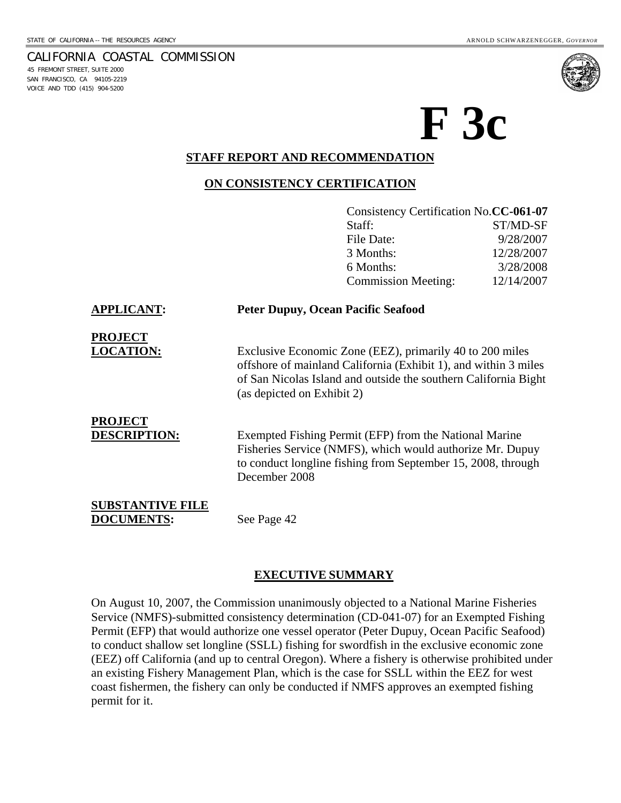45 FREMONT STREET, SUITE 2000 SAN FRANCISCO, CA 94105-2219 VOICE AND TDD (415) 904-5200



# **F 3c**

## **STAFF REPORT AND RECOMMENDATION**

#### **ON CONSISTENCY CERTIFICATION**

|                                              |                                           | Consistency Certification No.CC-061-07                                                                                                                                                         |            |
|----------------------------------------------|-------------------------------------------|------------------------------------------------------------------------------------------------------------------------------------------------------------------------------------------------|------------|
|                                              |                                           | Staff:                                                                                                                                                                                         | ST/MD-SF   |
|                                              |                                           | File Date:                                                                                                                                                                                     | 9/28/2007  |
|                                              |                                           | 3 Months:                                                                                                                                                                                      | 12/28/2007 |
|                                              |                                           | 6 Months:                                                                                                                                                                                      | 3/28/2008  |
|                                              |                                           | <b>Commission Meeting:</b>                                                                                                                                                                     | 12/14/2007 |
| <b>APPLICANT:</b>                            | <b>Peter Dupuy, Ocean Pacific Seafood</b> |                                                                                                                                                                                                |            |
| <b>PROJECT</b>                               |                                           |                                                                                                                                                                                                |            |
| <b>LOCATION:</b>                             | (as depicted on Exhibit 2)                | Exclusive Economic Zone (EEZ), primarily 40 to 200 miles<br>offshore of mainland California (Exhibit 1), and within 3 miles<br>of San Nicolas Island and outside the southern California Bight |            |
| <b>PROJECT</b><br><b>DESCRIPTION:</b>        | December 2008                             | Exempted Fishing Permit (EFP) from the National Marine<br>Fisheries Service (NMFS), which would authorize Mr. Dupuy<br>to conduct longline fishing from September 15, 2008, through            |            |
| <b>SUBSTANTIVE FILE</b><br><b>DOCUMENTS:</b> | See Page 42                               |                                                                                                                                                                                                |            |

#### **EXECUTIVE SUMMARY**

On August 10, 2007, the Commission unanimously objected to a National Marine Fisheries Service (NMFS)-submitted consistency determination (CD-041-07) for an Exempted Fishing Permit (EFP) that would authorize one vessel operator (Peter Dupuy, Ocean Pacific Seafood) to conduct shallow set longline (SSLL) fishing for swordfish in the exclusive economic zone (EEZ) off California (and up to central Oregon). Where a fishery is otherwise prohibited under an existing Fishery Management Plan, which is the case for SSLL within the EEZ for west coast fishermen, the fishery can only be conducted if NMFS approves an exempted fishing permit for it.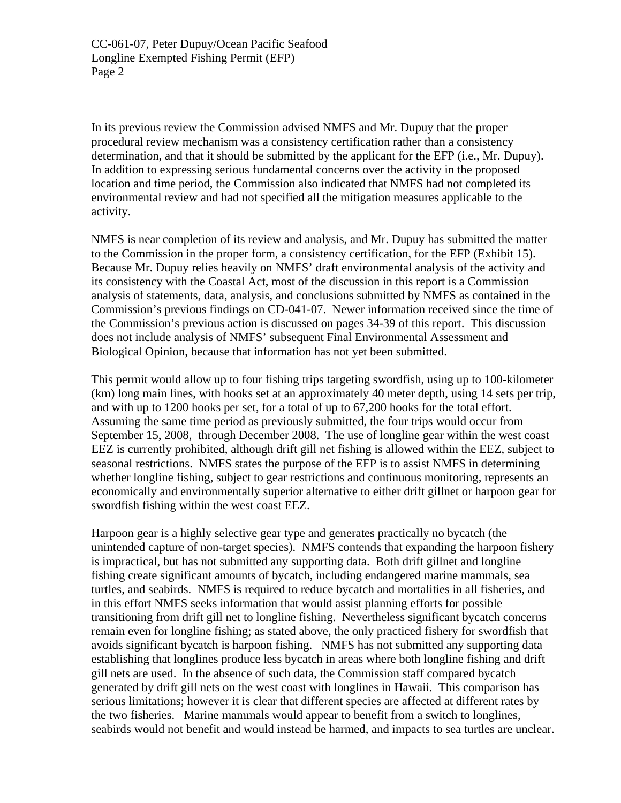In its previous review the Commission advised NMFS and Mr. Dupuy that the proper procedural review mechanism was a consistency certification rather than a consistency determination, and that it should be submitted by the applicant for the EFP (i.e., Mr. Dupuy). In addition to expressing serious fundamental concerns over the activity in the proposed location and time period, the Commission also indicated that NMFS had not completed its environmental review and had not specified all the mitigation measures applicable to the activity.

NMFS is near completion of its review and analysis, and Mr. Dupuy has submitted the matter to the Commission in the proper form, a consistency certification, for the EFP (Exhibit 15). Because Mr. Dupuy relies heavily on NMFS' draft environmental analysis of the activity and its consistency with the Coastal Act, most of the discussion in this report is a Commission analysis of statements, data, analysis, and conclusions submitted by NMFS as contained in the Commission's previous findings on CD-041-07. Newer information received since the time of the Commission's previous action is discussed on pages 34-39 of this report. This discussion does not include analysis of NMFS' subsequent Final Environmental Assessment and Biological Opinion, because that information has not yet been submitted.

This permit would allow up to four fishing trips targeting swordfish, using up to 100-kilometer (km) long main lines, with hooks set at an approximately 40 meter depth, using 14 sets per trip, and with up to 1200 hooks per set, for a total of up to 67,200 hooks for the total effort. Assuming the same time period as previously submitted, the four trips would occur from September 15, 2008, through December 2008. The use of longline gear within the west coast EEZ is currently prohibited, although drift gill net fishing is allowed within the EEZ, subject to seasonal restrictions. NMFS states the purpose of the EFP is to assist NMFS in determining whether longline fishing, subject to gear restrictions and continuous monitoring, represents an economically and environmentally superior alternative to either drift gillnet or harpoon gear for swordfish fishing within the west coast EEZ.

Harpoon gear is a highly selective gear type and generates practically no bycatch (the unintended capture of non-target species). NMFS contends that expanding the harpoon fishery is impractical, but has not submitted any supporting data. Both drift gillnet and longline fishing create significant amounts of bycatch, including endangered marine mammals, sea turtles, and seabirds. NMFS is required to reduce bycatch and mortalities in all fisheries, and in this effort NMFS seeks information that would assist planning efforts for possible transitioning from drift gill net to longline fishing. Nevertheless significant bycatch concerns remain even for longline fishing; as stated above, the only practiced fishery for swordfish that avoids significant bycatch is harpoon fishing. NMFS has not submitted any supporting data establishing that longlines produce less bycatch in areas where both longline fishing and drift gill nets are used. In the absence of such data, the Commission staff compared bycatch generated by drift gill nets on the west coast with longlines in Hawaii. This comparison has serious limitations; however it is clear that different species are affected at different rates by the two fisheries. Marine mammals would appear to benefit from a switch to longlines, seabirds would not benefit and would instead be harmed, and impacts to sea turtles are unclear.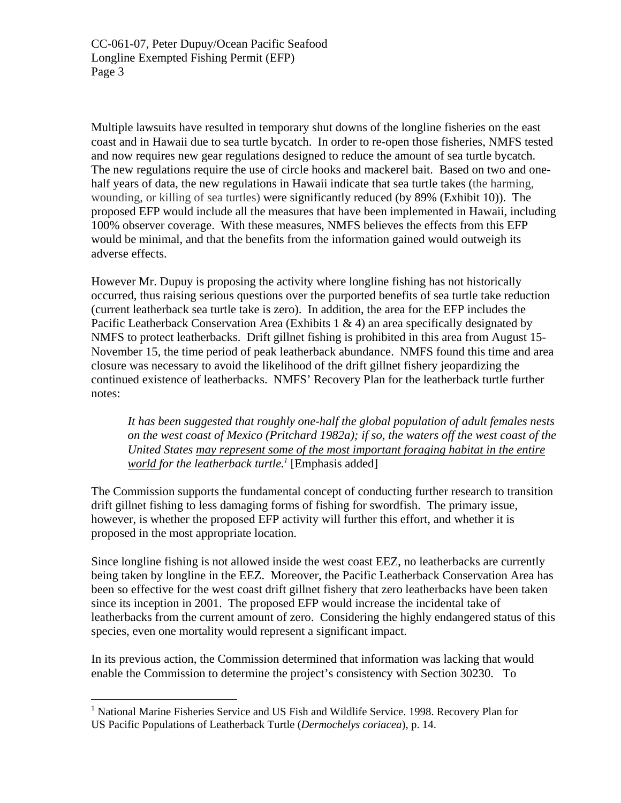Multiple lawsuits have resulted in temporary shut downs of the longline fisheries on the east coast and in Hawaii due to sea turtle bycatch. In order to re-open those fisheries, NMFS tested and now requires new gear regulations designed to reduce the amount of sea turtle bycatch. The new regulations require the use of circle hooks and mackerel bait. Based on two and onehalf years of data, the new regulations in Hawaii indicate that sea turtle takes (the harming, wounding, or killing of sea turtles) were significantly reduced (by 89% (Exhibit 10)). The proposed EFP would include all the measures that have been implemented in Hawaii, including 100% observer coverage. With these measures, NMFS believes the effects from this EFP would be minimal, and that the benefits from the information gained would outweigh its adverse effects.

However Mr. Dupuy is proposing the activity where longline fishing has not historically occurred, thus raising serious questions over the purported benefits of sea turtle take reduction (current leatherback sea turtle take is zero). In addition, the area for the EFP includes the Pacific Leatherback Conservation Area (Exhibits 1  $\&$  4) an area specifically designated by NMFS to protect leatherbacks. Drift gillnet fishing is prohibited in this area from August 15- November 15, the time period of peak leatherback abundance. NMFS found this time and area closure was necessary to avoid the likelihood of the drift gillnet fishery jeopardizing the continued existence of leatherbacks. NMFS' Recovery Plan for the leatherback turtle further notes:

*It has been suggested that roughly one-half the global population of adult females nests on the west coast of Mexico (Pritchard 1982a); if so, the waters off the west coast of the United States may represent some of the most important foraging habitat in the entire world for the leatherback turtle.[1](#page-2-0)* [Emphasis added]

The Commission supports the fundamental concept of conducting further research to transition drift gillnet fishing to less damaging forms of fishing for swordfish. The primary issue, however, is whether the proposed EFP activity will further this effort, and whether it is proposed in the most appropriate location.

Since longline fishing is not allowed inside the west coast EEZ, no leatherbacks are currently being taken by longline in the EEZ. Moreover, the Pacific Leatherback Conservation Area has been so effective for the west coast drift gillnet fishery that zero leatherbacks have been taken since its inception in 2001. The proposed EFP would increase the incidental take of leatherbacks from the current amount of zero. Considering the highly endangered status of this species, even one mortality would represent a significant impact.

In its previous action, the Commission determined that information was lacking that would enable the Commission to determine the project's consistency with Section 30230. To

1

<span id="page-2-0"></span><sup>&</sup>lt;sup>1</sup> National Marine Fisheries Service and US Fish and Wildlife Service. 1998. Recovery Plan for US Pacific Populations of Leatherback Turtle (*Dermochelys coriacea*), p. 14.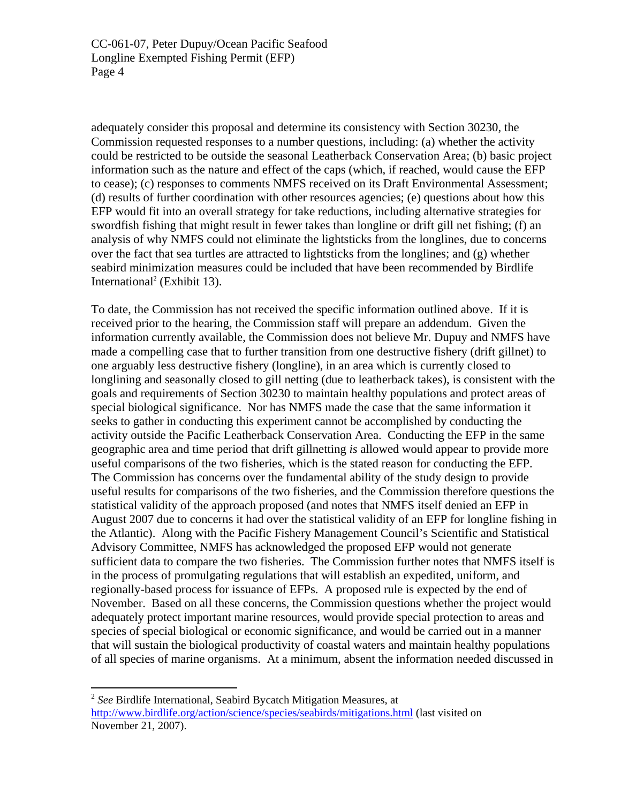adequately consider this proposal and determine its consistency with Section 30230, the Commission requested responses to a number questions, including: (a) whether the activity could be restricted to be outside the seasonal Leatherback Conservation Area; (b) basic project information such as the nature and effect of the caps (which, if reached, would cause the EFP to cease); (c) responses to comments NMFS received on its Draft Environmental Assessment; (d) results of further coordination with other resources agencies; (e) questions about how this EFP would fit into an overall strategy for take reductions, including alternative strategies for swordfish fishing that might result in fewer takes than longline or drift gill net fishing; (f) an analysis of why NMFS could not eliminate the lightsticks from the longlines, due to concerns over the fact that sea turtles are attracted to lightsticks from the longlines; and (g) whether seabird minimization measures could be included that have been recommended by Birdlife International<sup>[2](#page-3-0)</sup> (Exhibit 13).

To date, the Commission has not received the specific information outlined above. If it is received prior to the hearing, the Commission staff will prepare an addendum. Given the information currently available, the Commission does not believe Mr. Dupuy and NMFS have made a compelling case that to further transition from one destructive fishery (drift gillnet) to one arguably less destructive fishery (longline), in an area which is currently closed to longlining and seasonally closed to gill netting (due to leatherback takes), is consistent with the goals and requirements of Section 30230 to maintain healthy populations and protect areas of special biological significance. Nor has NMFS made the case that the same information it seeks to gather in conducting this experiment cannot be accomplished by conducting the activity outside the Pacific Leatherback Conservation Area. Conducting the EFP in the same geographic area and time period that drift gillnetting *is* allowed would appear to provide more useful comparisons of the two fisheries, which is the stated reason for conducting the EFP. The Commission has concerns over the fundamental ability of the study design to provide useful results for comparisons of the two fisheries, and the Commission therefore questions the statistical validity of the approach proposed (and notes that NMFS itself denied an EFP in August 2007 due to concerns it had over the statistical validity of an EFP for longline fishing in the Atlantic). Along with the Pacific Fishery Management Council's Scientific and Statistical Advisory Committee, NMFS has acknowledged the proposed EFP would not generate sufficient data to compare the two fisheries. The Commission further notes that NMFS itself is in the process of promulgating regulations that will establish an expedited, uniform, and regionally-based process for issuance of EFPs. A proposed rule is expected by the end of November. Based on all these concerns, the Commission questions whether the project would adequately protect important marine resources, would provide special protection to areas and species of special biological or economic significance, and would be carried out in a manner that will sustain the biological productivity of coastal waters and maintain healthy populations of all species of marine organisms. At a minimum, absent the information needed discussed in

<u>.</u>

<span id="page-3-0"></span><sup>2</sup> *See* Birdlife International, Seabird Bycatch Mitigation Measures, at <http://www.birdlife.org/action/science/species/seabirds/mitigations.html> (last visited on November 21, 2007).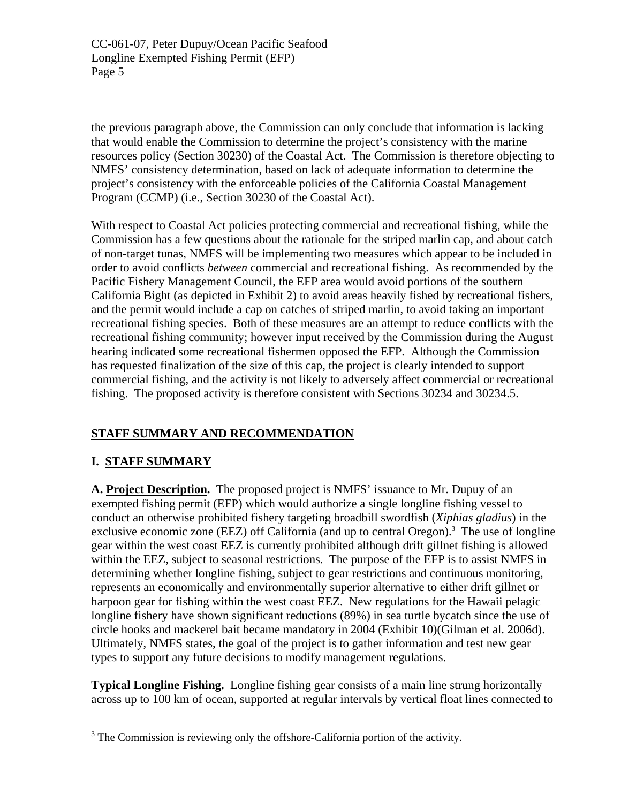the previous paragraph above, the Commission can only conclude that information is lacking that would enable the Commission to determine the project's consistency with the marine resources policy (Section 30230) of the Coastal Act. The Commission is therefore objecting to NMFS' consistency determination, based on lack of adequate information to determine the project's consistency with the enforceable policies of the California Coastal Management Program (CCMP) (i.e., Section 30230 of the Coastal Act).

With respect to Coastal Act policies protecting commercial and recreational fishing, while the Commission has a few questions about the rationale for the striped marlin cap, and about catch of non-target tunas, NMFS will be implementing two measures which appear to be included in order to avoid conflicts *between* commercial and recreational fishing. As recommended by the Pacific Fishery Management Council, the EFP area would avoid portions of the southern California Bight (as depicted in Exhibit 2) to avoid areas heavily fished by recreational fishers, and the permit would include a cap on catches of striped marlin, to avoid taking an important recreational fishing species. Both of these measures are an attempt to reduce conflicts with the recreational fishing community; however input received by the Commission during the August hearing indicated some recreational fishermen opposed the EFP. Although the Commission has requested finalization of the size of this cap, the project is clearly intended to support commercial fishing, and the activity is not likely to adversely affect commercial or recreational fishing. The proposed activity is therefore consistent with Sections 30234 and 30234.5.

# **STAFF SUMMARY AND RECOMMENDATION**

# **I. STAFF SUMMARY**

 $\overline{a}$ 

**A. Project Description.** The proposed project is NMFS' issuance to Mr. Dupuy of an exempted fishing permit (EFP) which would authorize a single longline fishing vessel to conduct an otherwise prohibited fishery targeting broadbill swordfish (*Xiphias gladius*) in the exclusive economic zone (EEZ) off California (and up to central Oregon).<sup>[3](#page-4-0)</sup> The use of longline gear within the west coast EEZ is currently prohibited although drift gillnet fishing is allowed within the EEZ, subject to seasonal restrictions. The purpose of the EFP is to assist NMFS in determining whether longline fishing, subject to gear restrictions and continuous monitoring, represents an economically and environmentally superior alternative to either drift gillnet or harpoon gear for fishing within the west coast EEZ. New regulations for the Hawaii pelagic longline fishery have shown significant reductions (89%) in sea turtle bycatch since the use of circle hooks and mackerel bait became mandatory in 2004 (Exhibit 10)(Gilman et al. 2006d). Ultimately, NMFS states, the goal of the project is to gather information and test new gear types to support any future decisions to modify management regulations.

**Typical Longline Fishing.** Longline fishing gear consists of a main line strung horizontally across up to 100 km of ocean, supported at regular intervals by vertical float lines connected to

<span id="page-4-0"></span><sup>&</sup>lt;sup>3</sup> The Commission is reviewing only the offshore-California portion of the activity.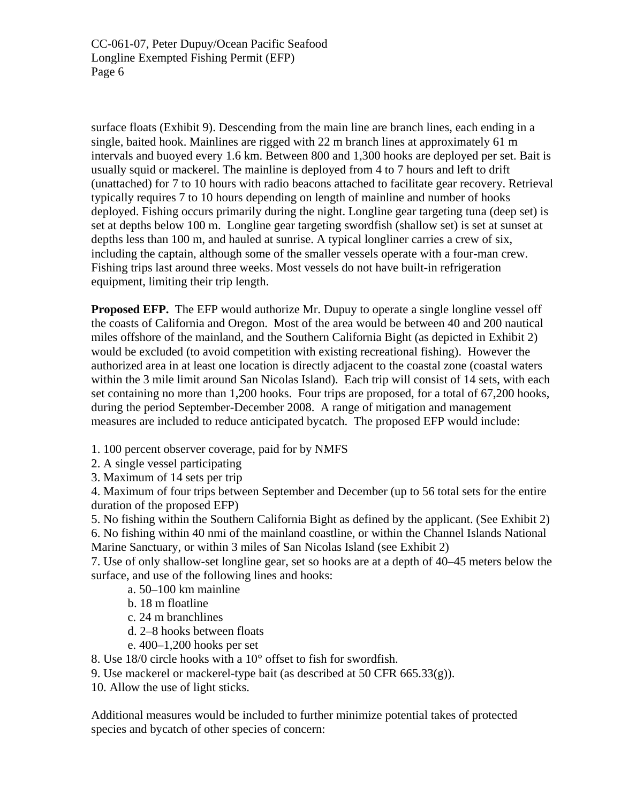surface floats (Exhibit 9). Descending from the main line are branch lines, each ending in a single, baited hook. Mainlines are rigged with 22 m branch lines at approximately 61 m intervals and buoyed every 1.6 km. Between 800 and 1,300 hooks are deployed per set. Bait is usually squid or mackerel. The mainline is deployed from 4 to 7 hours and left to drift (unattached) for 7 to 10 hours with radio beacons attached to facilitate gear recovery. Retrieval typically requires 7 to 10 hours depending on length of mainline and number of hooks deployed. Fishing occurs primarily during the night. Longline gear targeting tuna (deep set) is set at depths below 100 m. Longline gear targeting swordfish (shallow set) is set at sunset at depths less than 100 m, and hauled at sunrise. A typical longliner carries a crew of six, including the captain, although some of the smaller vessels operate with a four-man crew. Fishing trips last around three weeks. Most vessels do not have built-in refrigeration equipment, limiting their trip length.

**Proposed EFP.** The EFP would authorize Mr. Dupuy to operate a single longline vessel off the coasts of California and Oregon. Most of the area would be between 40 and 200 nautical miles offshore of the mainland, and the Southern California Bight (as depicted in Exhibit 2) would be excluded (to avoid competition with existing recreational fishing). However the authorized area in at least one location is directly adjacent to the coastal zone (coastal waters within the 3 mile limit around San Nicolas Island). Each trip will consist of 14 sets, with each set containing no more than 1,200 hooks. Four trips are proposed, for a total of 67,200 hooks, during the period September-December 2008. A range of mitigation and management measures are included to reduce anticipated bycatch. The proposed EFP would include:

1. 100 percent observer coverage, paid for by NMFS

2. A single vessel participating

3. Maximum of 14 sets per trip

4. Maximum of four trips between September and December (up to 56 total sets for the entire duration of the proposed EFP)

5. No fishing within the Southern California Bight as defined by the applicant. (See Exhibit 2) 6. No fishing within 40 nmi of the mainland coastline, or within the Channel Islands National Marine Sanctuary, or within 3 miles of San Nicolas Island (see Exhibit 2)

7. Use of only shallow-set longline gear, set so hooks are at a depth of 40–45 meters below the surface, and use of the following lines and hooks:

- a. 50–100 km mainline
- b. 18 m floatline
- c. 24 m branchlines
- d. 2–8 hooks between floats
- e. 400–1,200 hooks per set

8. Use 18/0 circle hooks with a 10° offset to fish for swordfish.

9. Use mackerel or mackerel-type bait (as described at 50 CFR  $665.33(g)$ ).

10. Allow the use of light sticks.

Additional measures would be included to further minimize potential takes of protected species and bycatch of other species of concern: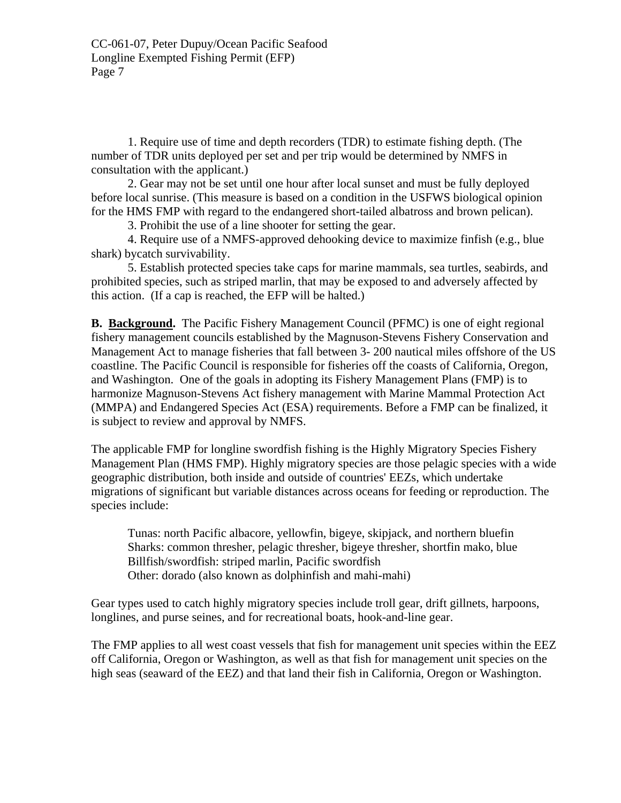1. Require use of time and depth recorders (TDR) to estimate fishing depth. (The number of TDR units deployed per set and per trip would be determined by NMFS in consultation with the applicant.)

2. Gear may not be set until one hour after local sunset and must be fully deployed before local sunrise. (This measure is based on a condition in the USFWS biological opinion for the HMS FMP with regard to the endangered short-tailed albatross and brown pelican).

3. Prohibit the use of a line shooter for setting the gear.

4. Require use of a NMFS-approved dehooking device to maximize finfish (e.g., blue shark) bycatch survivability.

5. Establish protected species take caps for marine mammals, sea turtles, seabirds, and prohibited species, such as striped marlin, that may be exposed to and adversely affected by this action. (If a cap is reached, the EFP will be halted.)

**B. Background.** The Pacific Fishery Management Council (PFMC) is one of eight regional fishery management councils established by the Magnuson-Stevens Fishery Conservation and Management Act to manage fisheries that fall between 3- 200 nautical miles offshore of the US coastline. The Pacific Council is responsible for fisheries off the coasts of California, Oregon, and Washington. One of the goals in adopting its Fishery Management Plans (FMP) is to harmonize Magnuson-Stevens Act fishery management with Marine Mammal Protection Act (MMPA) and Endangered Species Act (ESA) requirements. Before a FMP can be finalized, it is subject to review and approval by NMFS.

The applicable FMP for longline swordfish fishing is the Highly Migratory Species Fishery Management Plan (HMS FMP). Highly migratory species are those pelagic species with a wide geographic distribution, both inside and outside of countries' EEZs, which undertake migrations of significant but variable distances across oceans for feeding or reproduction. The species include:

Tunas: north Pacific albacore, yellowfin, bigeye, skipjack, and northern bluefin Sharks: common thresher, pelagic thresher, bigeye thresher, shortfin mako, blue Billfish/swordfish: striped marlin, Pacific swordfish Other: dorado (also known as dolphinfish and mahi-mahi)

Gear types used to catch highly migratory species include troll gear, drift gillnets, harpoons, longlines, and purse seines, and for recreational boats, hook-and-line gear.

The FMP applies to all west coast vessels that fish for management unit species within the EEZ off California, Oregon or Washington, as well as that fish for management unit species on the high seas (seaward of the EEZ) and that land their fish in California, Oregon or Washington.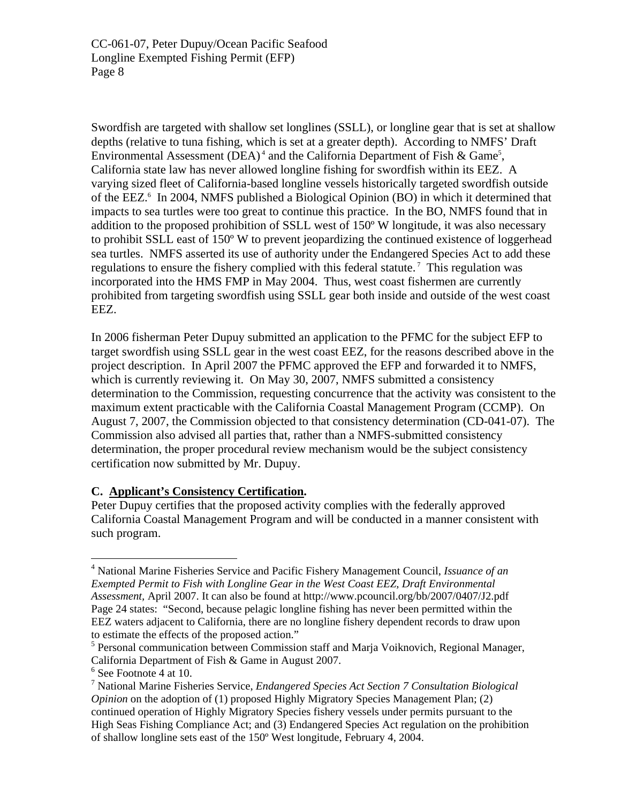Swordfish are targeted with shallow set longlines (SSLL), or longline gear that is set at shallow depths (relative to tuna fishing, which is set at a greater depth). According to NMFS' Draft Environmental Assessment (DEA)<sup>4</sup> and the California Department of Fish & Game<sup>5</sup>, California state law has never allowed longline fishing for swordfish within its EEZ. A varying sized fleet of California-based longline vessels historically targeted swordfish outside of the EEZ.<sup>[6](#page-7-2)</sup> In 2004, NMFS published a Biological Opinion (BO) in which it determined that impacts to sea turtles were too great to continue this practice. In the BO, NMFS found that in addition to the proposed prohibition of SSLL west of 150º W longitude, it was also necessary to prohibit SSLL east of 150º W to prevent jeopardizing the continued existence of loggerhead sea turtles. NMFS asserted its use of authority under the Endangered Species Act to add these regulations to ensure the fishery complied with this federal statute.<sup>7</sup> This regulation was incorporated into the HMS FMP in May 2004. Thus, west coast fishermen are currently prohibited from targeting swordfish using SSLL gear both inside and outside of the west coast EEZ.

In 2006 fisherman Peter Dupuy submitted an application to the PFMC for the subject EFP to target swordfish using SSLL gear in the west coast EEZ, for the reasons described above in the project description. In April 2007 the PFMC approved the EFP and forwarded it to NMFS, which is currently reviewing it. On May 30, 2007, NMFS submitted a consistency determination to the Commission, requesting concurrence that the activity was consistent to the maximum extent practicable with the California Coastal Management Program (CCMP). On August 7, 2007, the Commission objected to that consistency determination (CD-041-07). The Commission also advised all parties that, rather than a NMFS-submitted consistency determination, the proper procedural review mechanism would be the subject consistency certification now submitted by Mr. Dupuy.

# **C. Applicant's Consistency Certification.**

Peter Dupuy certifies that the proposed activity complies with the federally approved California Coastal Management Program and will be conducted in a manner consistent with such program.

1

<span id="page-7-0"></span><sup>4</sup> National Marine Fisheries Service and Pacific Fishery Management Council, *Issuance of an Exempted Permit to Fish with Longline Gear in the West Coast EEZ, Draft Environmental Assessment,* April 2007. It can also be found at http://www.pcouncil.org/bb/2007/0407/J2.pdf Page 24 states: "Second, because pelagic longline fishing has never been permitted within the EEZ waters adjacent to California, there are no longline fishery dependent records to draw upon to estimate the effects of the proposed action."

<span id="page-7-1"></span><sup>&</sup>lt;sup>5</sup> Personal communication between Commission staff and Marja Voiknovich, Regional Manager, California Department of Fish & Game in August 2007.

<span id="page-7-2"></span><sup>6</sup> See Footnote 4 at 10.

<span id="page-7-3"></span><sup>7</sup> National Marine Fisheries Service, *Endangered Species Act Section 7 Consultation Biological Opinion* on the adoption of (1) proposed Highly Migratory Species Management Plan; (2) continued operation of Highly Migratory Species fishery vessels under permits pursuant to the High Seas Fishing Compliance Act; and (3) Endangered Species Act regulation on the prohibition of shallow longline sets east of the 150º West longitude, February 4, 2004.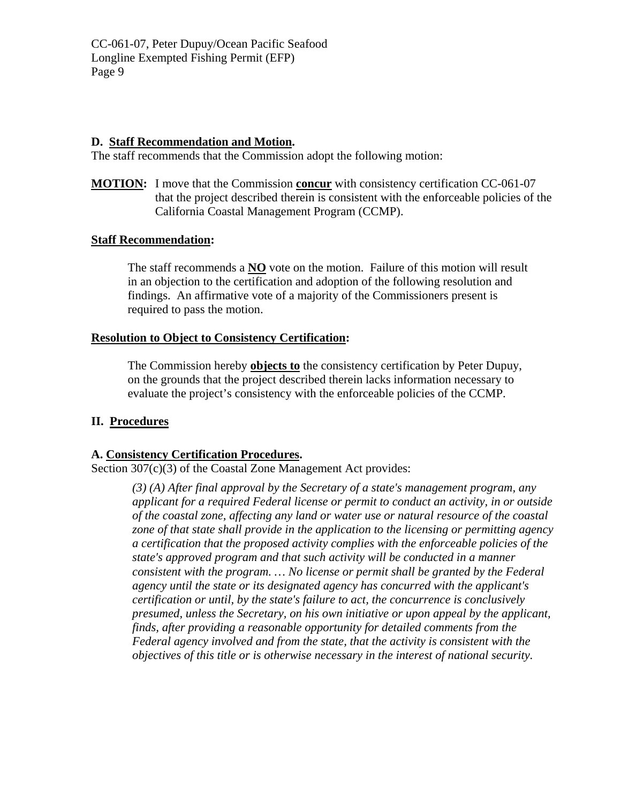## **D. Staff Recommendation and Motion.**

The staff recommends that the Commission adopt the following motion:

**MOTION:** I move that the Commission **concur** with consistency certification CC-061-07 that the project described therein is consistent with the enforceable policies of the California Coastal Management Program (CCMP).

## **Staff Recommendation:**

The staff recommends a **NO** vote on the motion. Failure of this motion will result in an objection to the certification and adoption of the following resolution and findings. An affirmative vote of a majority of the Commissioners present is required to pass the motion.

## **Resolution to Object to Consistency Certification:**

The Commission hereby **objects to** the consistency certification by Peter Dupuy, on the grounds that the project described therein lacks information necessary to evaluate the project's consistency with the enforceable policies of the CCMP.

# **II. Procedures**

# **A. Consistency Certification Procedures.**

Section 307(c)(3) of the Coastal Zone Management Act provides:

*(3) (A) After final approval by the Secretary of a state's management program, any applicant for a required Federal license or permit to conduct an activity, in or outside of the coastal zone, affecting any land or water use or natural resource of the coastal zone of that state shall provide in the application to the licensing or permitting agency a certification that the proposed activity complies with the enforceable policies of the state's approved program and that such activity will be conducted in a manner consistent with the program. … No license or permit shall be granted by the Federal agency until the state or its designated agency has concurred with the applicant's certification or until, by the state's failure to act, the concurrence is conclusively presumed, unless the Secretary, on his own initiative or upon appeal by the applicant, finds, after providing a reasonable opportunity for detailed comments from the Federal agency involved and from the state, that the activity is consistent with the objectives of this title or is otherwise necessary in the interest of national security.*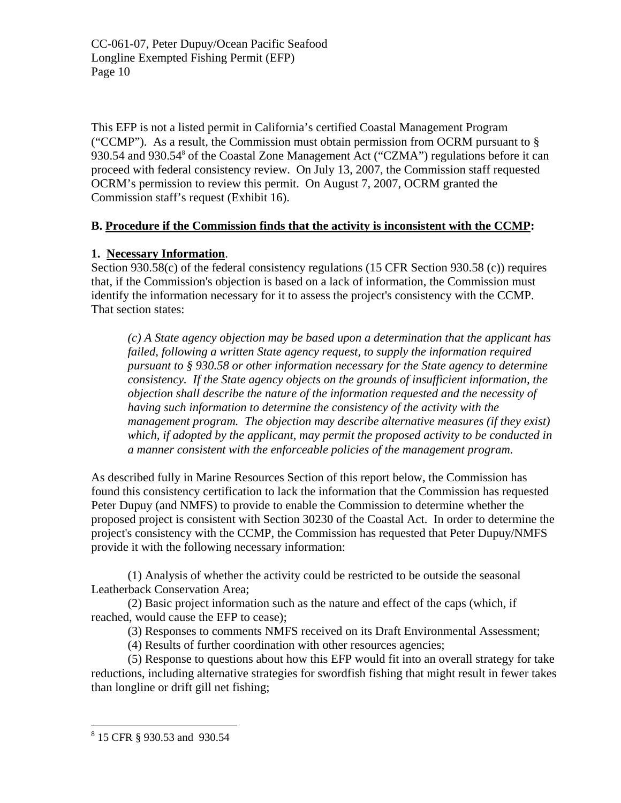This EFP is not a listed permit in California's certified Coastal Management Program ("CCMP"). As a result, the Commission must obtain permission from OCRM pursuant to  $\S$ 930.54 and 930.54<sup>8</sup> of the Coastal Zone Management Act ("CZMA") regulations before it can proceed with federal consistency review. On July 13, 2007, the Commission staff requested OCRM's permission to review this permit. On August 7, 2007, OCRM granted the Commission staff's request (Exhibit 16).

# **B. Procedure if the Commission finds that the activity is inconsistent with the CCMP:**

# **1. Necessary Information**.

Section 930.58(c) of the federal consistency regulations (15 CFR Section 930.58 (c)) requires that, if the Commission's objection is based on a lack of information, the Commission must identify the information necessary for it to assess the project's consistency with the CCMP. That section states:

*(c) A State agency objection may be based upon a determination that the applicant has failed, following a written State agency request, to supply the information required pursuant to § 930.58 or other information necessary for the State agency to determine consistency. If the State agency objects on the grounds of insufficient information, the objection shall describe the nature of the information requested and the necessity of having such information to determine the consistency of the activity with the management program. The objection may describe alternative measures (if they exist) which, if adopted by the applicant, may permit the proposed activity to be conducted in a manner consistent with the enforceable policies of the management program.* 

As described fully in Marine Resources Section of this report below, the Commission has found this consistency certification to lack the information that the Commission has requested Peter Dupuy (and NMFS) to provide to enable the Commission to determine whether the proposed project is consistent with Section 30230 of the Coastal Act. In order to determine the project's consistency with the CCMP, the Commission has requested that Peter Dupuy/NMFS provide it with the following necessary information:

(1) Analysis of whether the activity could be restricted to be outside the seasonal Leatherback Conservation Area;

(2) Basic project information such as the nature and effect of the caps (which, if reached, would cause the EFP to cease);

(3) Responses to comments NMFS received on its Draft Environmental Assessment;

(4) Results of further coordination with other resources agencies;

(5) Response to questions about how this EFP would fit into an overall strategy for take reductions, including alternative strategies for swordfish fishing that might result in fewer takes than longline or drift gill net fishing;

<u>.</u>

<span id="page-9-0"></span><sup>8</sup> 15 CFR § 930.53 and 930.54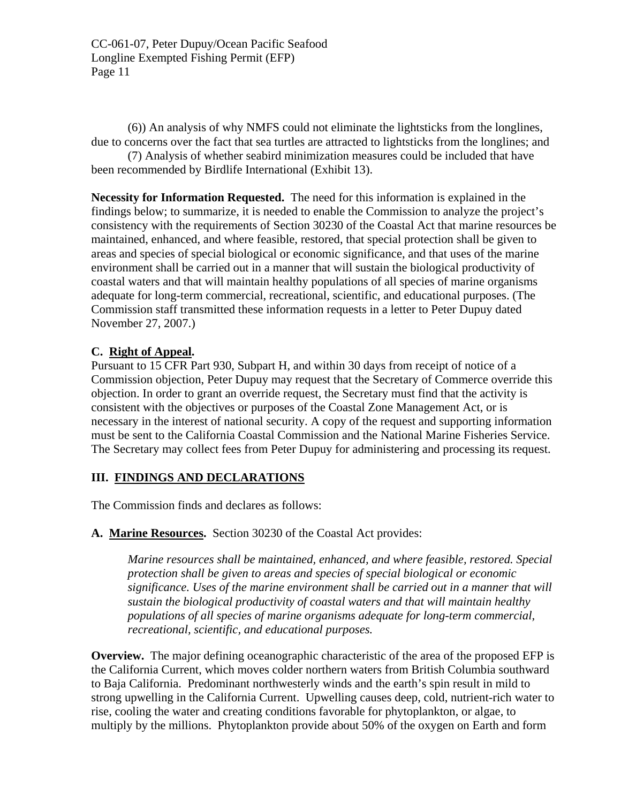(6)) An analysis of why NMFS could not eliminate the lightsticks from the longlines, due to concerns over the fact that sea turtles are attracted to lightsticks from the longlines; and

(7) Analysis of whether seabird minimization measures could be included that have been recommended by Birdlife International (Exhibit 13).

**Necessity for Information Requested.** The need for this information is explained in the findings below; to summarize, it is needed to enable the Commission to analyze the project's consistency with the requirements of Section 30230 of the Coastal Act that marine resources be maintained, enhanced, and where feasible, restored, that special protection shall be given to areas and species of special biological or economic significance, and that uses of the marine environment shall be carried out in a manner that will sustain the biological productivity of coastal waters and that will maintain healthy populations of all species of marine organisms adequate for long-term commercial, recreational, scientific, and educational purposes. (The Commission staff transmitted these information requests in a letter to Peter Dupuy dated November 27, 2007.)

# **C. Right of Appeal.**

Pursuant to 15 CFR Part 930, Subpart H, and within 30 days from receipt of notice of a Commission objection, Peter Dupuy may request that the Secretary of Commerce override this objection. In order to grant an override request, the Secretary must find that the activity is consistent with the objectives or purposes of the Coastal Zone Management Act, or is necessary in the interest of national security. A copy of the request and supporting information must be sent to the California Coastal Commission and the National Marine Fisheries Service. The Secretary may collect fees from Peter Dupuy for administering and processing its request.

# **III. FINDINGS AND DECLARATIONS**

The Commission finds and declares as follows:

# **A. Marine Resources.** Section 30230 of the Coastal Act provides:

*Marine resources shall be maintained, enhanced, and where feasible, restored. Special protection shall be given to areas and species of special biological or economic significance. Uses of the marine environment shall be carried out in a manner that will sustain the biological productivity of coastal waters and that will maintain healthy populations of all species of marine organisms adequate for long-term commercial, recreational, scientific, and educational purposes.* 

**Overview.** The major defining oceanographic characteristic of the area of the proposed EFP is the California Current, which moves colder northern waters from British Columbia southward to Baja California. Predominant northwesterly winds and the earth's spin result in mild to strong upwelling in the California Current. Upwelling causes deep, cold, nutrient-rich water to rise, cooling the water and creating conditions favorable for phytoplankton, or algae, to multiply by the millions. Phytoplankton provide about 50% of the oxygen on Earth and form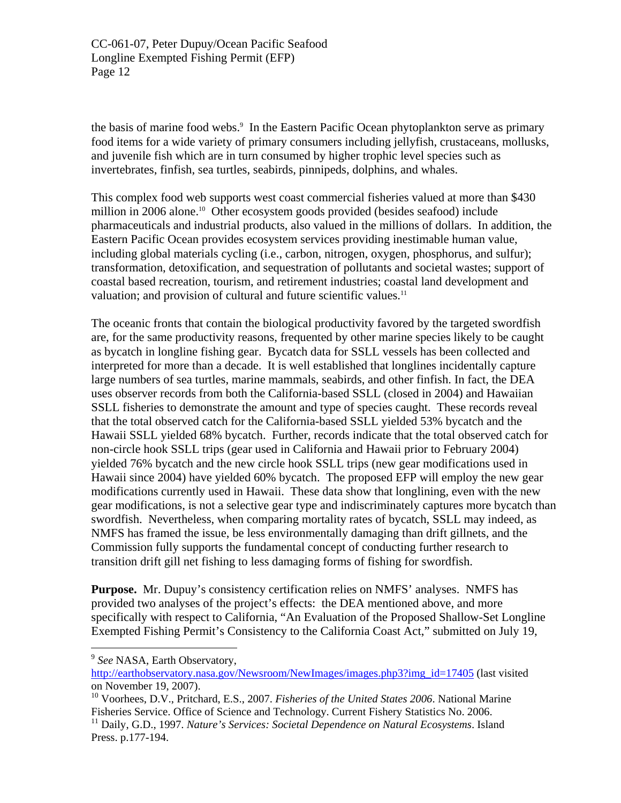thebasis of marine food webs.<sup>9</sup> In the Eastern Pacific Ocean phytoplankton serve as primary food items for a wide variety of primary consumers including jellyfish, crustaceans, mollusks, and juvenile fish which are in turn consumed by higher trophic level species such as invertebrates, finfish, sea turtles, seabirds, pinnipeds, dolphins, and whales.

This complex food web supports west coast commercial fisheries valued at more than \$430 million in 2006 alone.<sup>10</sup> Other ecosystem goods provided (besides seafood) include pharmaceuticals and industrial products, also valued in the millions of dollars. In addition, the Eastern Pacific Ocean provides ecosystem services providing inestimable human value, including global materials cycling (i.e., carbon, nitrogen, oxygen, phosphorus, and sulfur); transformation, detoxification, and sequestration of pollutants and societal wastes; support of coastal based recreation, tourism, and retirement industries; coastal land development and valuation; and provision of cultural and future scientific values.<sup>11</sup>

The oceanic fronts that contain the biological productivity favored by the targeted swordfish are, for the same productivity reasons, frequented by other marine species likely to be caught as bycatch in longline fishing gear. Bycatch data for SSLL vessels has been collected and interpreted for more than a decade. It is well established that longlines incidentally capture large numbers of sea turtles, marine mammals, seabirds, and other finfish. In fact, the DEA uses observer records from both the California-based SSLL (closed in 2004) and Hawaiian SSLL fisheries to demonstrate the amount and type of species caught. These records reveal that the total observed catch for the California-based SSLL yielded 53% bycatch and the Hawaii SSLL yielded 68% bycatch. Further, records indicate that the total observed catch for non-circle hook SSLL trips (gear used in California and Hawaii prior to February 2004) yielded 76% bycatch and the new circle hook SSLL trips (new gear modifications used in Hawaii since 2004) have yielded 60% bycatch. The proposed EFP will employ the new gear modifications currently used in Hawaii. These data show that longlining, even with the new gear modifications, is not a selective gear type and indiscriminately captures more bycatch than swordfish. Nevertheless, when comparing mortality rates of bycatch, SSLL may indeed, as NMFS has framed the issue, be less environmentally damaging than drift gillnets, and the Commission fully supports the fundamental concept of conducting further research to transition drift gill net fishing to less damaging forms of fishing for swordfish.

**Purpose.** Mr. Dupuy's consistency certification relies on NMFS' analyses. NMFS has provided two analyses of the project's effects: the DEA mentioned above, and more specifically with respect to California, "An Evaluation of the Proposed Shallow-Set Longline Exempted Fishing Permit's Consistency to the California Coast Act," submitted on July 19,

1

<span id="page-11-0"></span><sup>9</sup> *See* NASA, Earth Observatory,

[http://earthobservatory.nasa.gov/Newsroom/NewImages/images.php3?img\\_id=17405](http://earthobservatory.nasa.gov/Newsroom/NewImages/images.php3?img_id=17405) (last visited on November 19, 2007).

<span id="page-11-1"></span><sup>10</sup> Voorhees, D.V., Pritchard, E.S., 2007. *Fisheries of the United States 2006*. National Marine Fisheries Service. Office of Science and Technology. Current Fishery Statistics No. 2006.

<span id="page-11-2"></span><sup>&</sup>lt;sup>11</sup> Daily, G.D., 1997. *Nature's Services: Societal Dependence on Natural Ecosystems*. Island Press. p.177-194.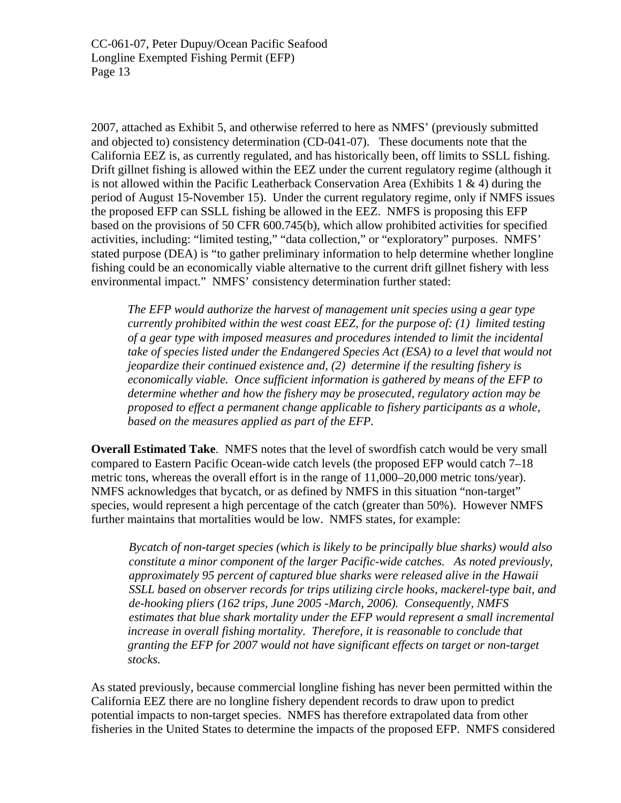2007, attached as Exhibit 5, and otherwise referred to here as NMFS' (previously submitted and objected to) consistency determination (CD-041-07). These documents note that the California EEZ is, as currently regulated, and has historically been, off limits to SSLL fishing. Drift gillnet fishing is allowed within the EEZ under the current regulatory regime (although it is not allowed within the Pacific Leatherback Conservation Area (Exhibits  $1 \& 4$ ) during the period of August 15-November 15). Under the current regulatory regime, only if NMFS issues the proposed EFP can SSLL fishing be allowed in the EEZ. NMFS is proposing this EFP based on the provisions of 50 CFR 600.745(b), which allow prohibited activities for specified activities, including: "limited testing," "data collection," or "exploratory" purposes. NMFS' stated purpose (DEA) is "to gather preliminary information to help determine whether longline fishing could be an economically viable alternative to the current drift gillnet fishery with less environmental impact." NMFS' consistency determination further stated:

*The EFP would authorize the harvest of management unit species using a gear type currently prohibited within the west coast EEZ, for the purpose of: (1) limited testing of a gear type with imposed measures and procedures intended to limit the incidental take of species listed under the Endangered Species Act (ESA) to a level that would not jeopardize their continued existence and, (2) determine if the resulting fishery is economically viable. Once sufficient information is gathered by means of the EFP to determine whether and how the fishery may be prosecuted, regulatory action may be proposed to effect a permanent change applicable to fishery participants as a whole, based on the measures applied as part of the EFP.* 

**Overall Estimated Take**. NMFS notes that the level of swordfish catch would be very small compared to Eastern Pacific Ocean-wide catch levels (the proposed EFP would catch 7–18 metric tons, whereas the overall effort is in the range of 11,000–20,000 metric tons/year). NMFS acknowledges that bycatch, or as defined by NMFS in this situation "non-target" species, would represent a high percentage of the catch (greater than 50%). However NMFS further maintains that mortalities would be low. NMFS states, for example:

*Bycatch of non-target species (which is likely to be principally blue sharks) would also constitute a minor component of the larger Pacific-wide catches. As noted previously, approximately 95 percent of captured blue sharks were released alive in the Hawaii SSLL based on observer records for trips utilizing circle hooks, mackerel-type bait, and de-hooking pliers (162 trips, June 2005 -March, 2006). Consequently, NMFS estimates that blue shark mortality under the EFP would represent a small incremental increase in overall fishing mortality. Therefore, it is reasonable to conclude that granting the EFP for 2007 would not have significant effects on target or non-target stocks.* 

As stated previously, because commercial longline fishing has never been permitted within the California EEZ there are no longline fishery dependent records to draw upon to predict potential impacts to non-target species. NMFS has therefore extrapolated data from other fisheries in the United States to determine the impacts of the proposed EFP. NMFS considered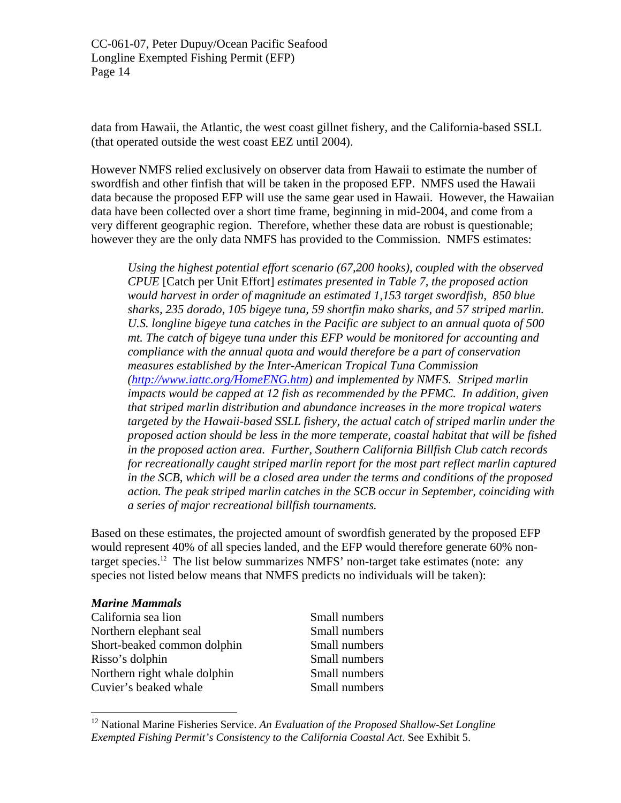data from Hawaii, the Atlantic, the west coast gillnet fishery, and the California-based SSLL (that operated outside the west coast EEZ until 2004).

However NMFS relied exclusively on observer data from Hawaii to estimate the number of swordfish and other finfish that will be taken in the proposed EFP. NMFS used the Hawaii data because the proposed EFP will use the same gear used in Hawaii. However, the Hawaiian data have been collected over a short time frame, beginning in mid-2004, and come from a very different geographic region. Therefore, whether these data are robust is questionable; however they are the only data NMFS has provided to the Commission. NMFS estimates:

*Using the highest potential effort scenario (67,200 hooks), coupled with the observed CPUE* [Catch per Unit Effort] *estimates presented in Table 7, the proposed action would harvest in order of magnitude an estimated 1,153 target swordfish, 850 blue sharks, 235 dorado, 105 bigeye tuna, 59 shortfin mako sharks, and 57 striped marlin. U.S. longline bigeye tuna catches in the Pacific are subject to an annual quota of 500 mt. The catch of bigeye tuna under this EFP would be monitored for accounting and compliance with the annual quota and would therefore be a part of conservation measures established by the Inter-American Tropical Tuna Commission (<http://www.iattc.org/HomeENG.htm>) and implemented by NMFS. Striped marlin impacts would be capped at 12 fish as recommended by the PFMC. In addition, given that striped marlin distribution and abundance increases in the more tropical waters targeted by the Hawaii-based SSLL fishery, the actual catch of striped marlin under the proposed action should be less in the more temperate, coastal habitat that will be fished in the proposed action area. Further, Southern California Billfish Club catch records for recreationally caught striped marlin report for the most part reflect marlin captured in the SCB, which will be a closed area under the terms and conditions of the proposed action. The peak striped marlin catches in the SCB occur in September, coinciding with a series of major recreational billfish tournaments.* 

Based on these estimates, the projected amount of swordfish generated by the proposed EFP would represent 40% of all species landed, and the EFP would therefore generate 60% nontarget species.<sup>12</sup> The list below summarizes NMFS' non-target take estimates (note: any species not listed below means that NMFS predicts no individuals will be taken):

#### *Marine Mammals*

1

California sea lion Small numbers Northern elephant seal Small numbers Short-beaked common dolphin Small numbers Risso's dolphin Small numbers Northern right whale dolphin Small numbers Cuvier's beaked whale Small numbers

<span id="page-13-0"></span><sup>12</sup> National Marine Fisheries Service. *An Evaluation of the Proposed Shallow-Set Longline Exempted Fishing Permit's Consistency to the California Coastal Act*. See Exhibit 5.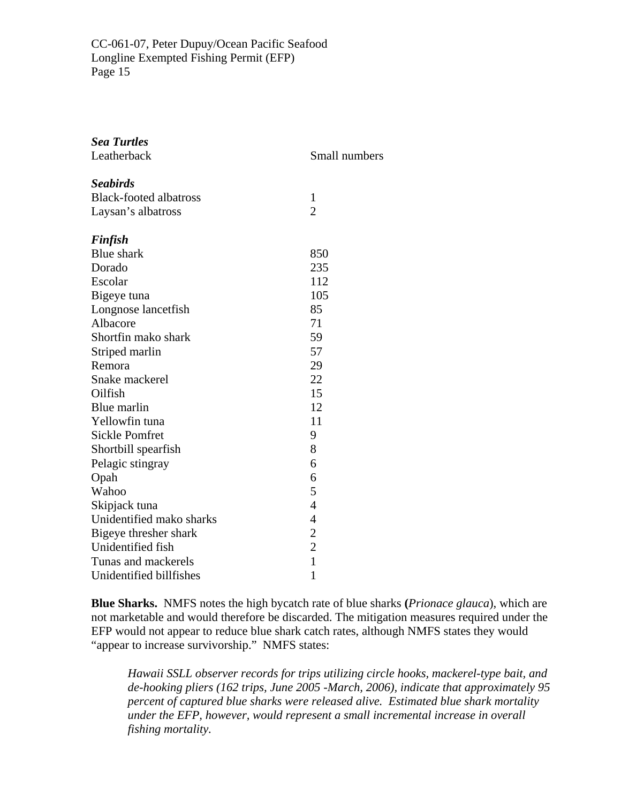| <b>Sea Turtles</b><br>Leatherback | Small numbers  |
|-----------------------------------|----------------|
| <b>Seabirds</b>                   |                |
| <b>Black-footed albatross</b>     | 1              |
| Laysan's albatross                | $\overline{2}$ |
| <b>Finfish</b>                    |                |
| <b>Blue</b> shark                 | 850            |
| Dorado                            | 235            |
| Escolar                           | 112            |
| Bigeye tuna                       | 105            |
| Longnose lancetfish               | 85             |
| Albacore                          | 71             |
| Shortfin mako shark               | 59             |
| Striped marlin                    | 57             |
| Remora                            | 29             |
| Snake mackerel                    | 22             |
| Oilfish                           | 15             |
| Blue marlin                       | 12             |
| Yellowfin tuna                    | 11             |
| <b>Sickle Pomfret</b>             | 9              |
| Shortbill spearfish               | 8              |
| Pelagic stingray                  | 6              |
| Opah                              | 6              |
| Wahoo                             | 5              |
| Skipjack tuna                     | $\overline{4}$ |
| Unidentified mako sharks          | $\overline{4}$ |
| Bigeye thresher shark             | $\overline{c}$ |
| Unidentified fish                 | $\overline{c}$ |
| Tunas and mackerels               | $\mathbf{1}$   |
| Unidentified billfishes           | 1              |

**Blue Sharks.** NMFS notes the high bycatch rate of blue sharks **(***Prionace glauca*), which are not marketable and would therefore be discarded. The mitigation measures required under the EFP would not appear to reduce blue shark catch rates, although NMFS states they would "appear to increase survivorship." NMFS states:

*Hawaii SSLL observer records for trips utilizing circle hooks, mackerel-type bait, and de-hooking pliers (162 trips, June 2005 -March, 2006), indicate that approximately 95 percent of captured blue sharks were released alive. Estimated blue shark mortality under the EFP, however, would represent a small incremental increase in overall fishing mortality.*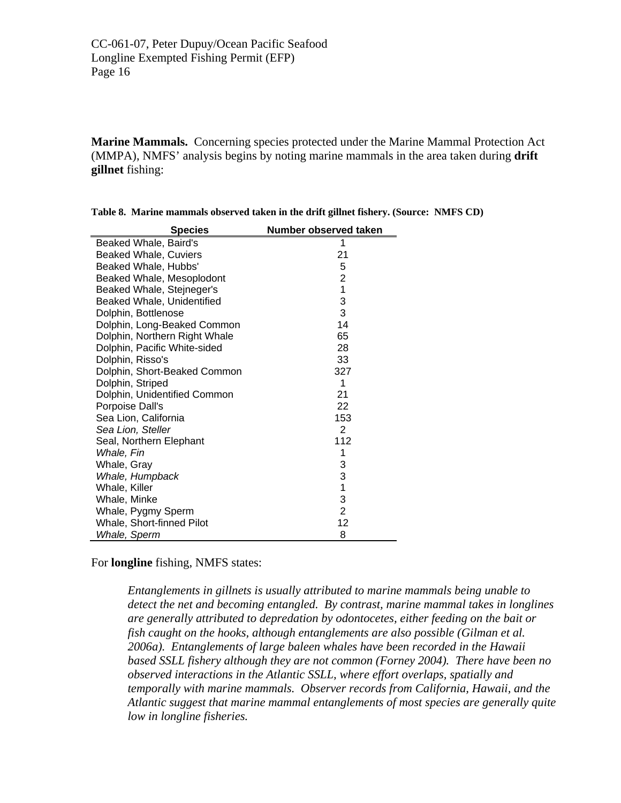**Marine Mammals.** Concerning species protected under the Marine Mammal Protection Act (MMPA), NMFS' analysis begins by noting marine mammals in the area taken during **drift gillnet** fishing:

| <b>Species</b>                | Number observed taken |
|-------------------------------|-----------------------|
| Beaked Whale, Baird's         | 1                     |
| <b>Beaked Whale, Cuviers</b>  | 21                    |
| Beaked Whale, Hubbs'          | 5                     |
| Beaked Whale, Mesoplodont     | $\overline{c}$        |
| Beaked Whale, Stejneger's     | $\overline{1}$        |
| Beaked Whale, Unidentified    | 3                     |
| Dolphin, Bottlenose           | 3                     |
| Dolphin, Long-Beaked Common   | 14                    |
| Dolphin, Northern Right Whale | 65                    |
| Dolphin, Pacific White-sided  | 28                    |
| Dolphin, Risso's              | 33                    |
| Dolphin, Short-Beaked Common  | 327                   |
| Dolphin, Striped              | 1                     |
| Dolphin, Unidentified Common  | 21                    |
| Porpoise Dall's               | 22                    |
| Sea Lion, California          | 153                   |
| Sea Lion, Steller             | $\overline{2}$        |
| Seal, Northern Elephant       | 112                   |
| Whale, Fin                    | 1                     |
| Whale, Gray                   | 3                     |
| Whale, Humpback               | $\frac{3}{1}$         |
| Whale, Killer                 |                       |
| Whale, Minke                  | 3                     |
| Whale, Pygmy Sperm            | $\overline{2}$        |
| Whale, Short-finned Pilot     | 12                    |
| Whale, Sperm                  | 8                     |

| Table 8. Marine mammals observed taken in the drift gillnet fishery. (Source: NMFS CD) |  |  |
|----------------------------------------------------------------------------------------|--|--|
|----------------------------------------------------------------------------------------|--|--|

For **longline** fishing, NMFS states:

*Entanglements in gillnets is usually attributed to marine mammals being unable to detect the net and becoming entangled. By contrast, marine mammal takes in longlines are generally attributed to depredation by odontocetes, either feeding on the bait or fish caught on the hooks, although entanglements are also possible (Gilman et al. 2006a). Entanglements of large baleen whales have been recorded in the Hawaii based SSLL fishery although they are not common (Forney 2004). There have been no observed interactions in the Atlantic SSLL, where effort overlaps, spatially and temporally with marine mammals. Observer records from California, Hawaii, and the Atlantic suggest that marine mammal entanglements of most species are generally quite low in longline fisheries.*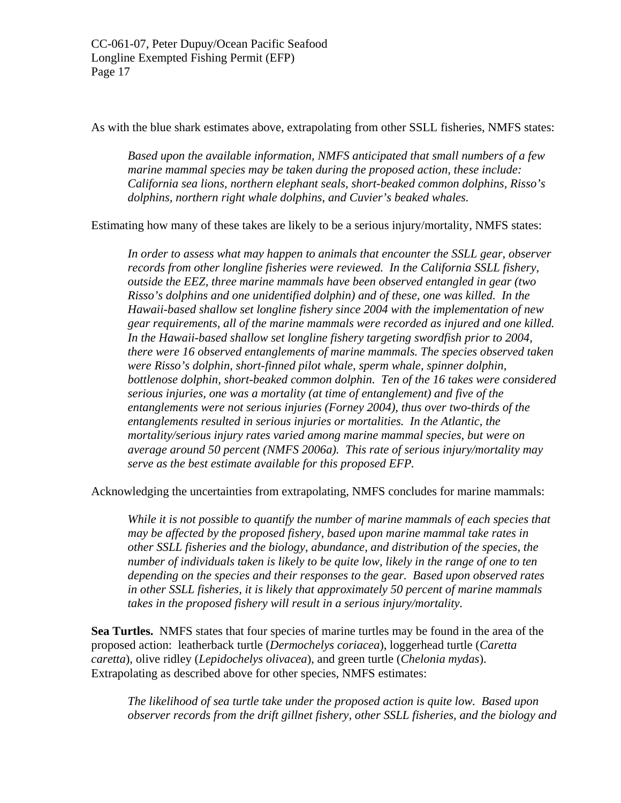As with the blue shark estimates above, extrapolating from other SSLL fisheries, NMFS states:

*Based upon the available information, NMFS anticipated that small numbers of a few marine mammal species may be taken during the proposed action, these include: California sea lions, northern elephant seals, short-beaked common dolphins, Risso's dolphins, northern right whale dolphins, and Cuvier's beaked whales.* 

Estimating how many of these takes are likely to be a serious injury/mortality, NMFS states:

*In order to assess what may happen to animals that encounter the SSLL gear, observer records from other longline fisheries were reviewed. In the California SSLL fishery, outside the EEZ, three marine mammals have been observed entangled in gear (two Risso's dolphins and one unidentified dolphin) and of these, one was killed. In the Hawaii-based shallow set longline fishery since 2004 with the implementation of new gear requirements, all of the marine mammals were recorded as injured and one killed. In the Hawaii-based shallow set longline fishery targeting swordfish prior to 2004, there were 16 observed entanglements of marine mammals. The species observed taken were Risso's dolphin, short-finned pilot whale, sperm whale, spinner dolphin, bottlenose dolphin, short-beaked common dolphin. Ten of the 16 takes were considered serious injuries, one was a mortality (at time of entanglement) and five of the entanglements were not serious injuries (Forney 2004), thus over two-thirds of the entanglements resulted in serious injuries or mortalities. In the Atlantic, the mortality/serious injury rates varied among marine mammal species, but were on average around 50 percent (NMFS 2006a). This rate of serious injury/mortality may serve as the best estimate available for this proposed EFP.* 

Acknowledging the uncertainties from extrapolating, NMFS concludes for marine mammals:

*While it is not possible to quantify the number of marine mammals of each species that may be affected by the proposed fishery, based upon marine mammal take rates in other SSLL fisheries and the biology, abundance, and distribution of the species, the number of individuals taken is likely to be quite low, likely in the range of one to ten depending on the species and their responses to the gear. Based upon observed rates in other SSLL fisheries, it is likely that approximately 50 percent of marine mammals takes in the proposed fishery will result in a serious injury/mortality.* 

**Sea Turtles.** NMFS states that four species of marine turtles may be found in the area of the proposed action: leatherback turtle (*Dermochelys coriacea*), loggerhead turtle (*Caretta caretta*), olive ridley (*Lepidochelys olivacea*), and green turtle (*Chelonia mydas*). Extrapolating as described above for other species, NMFS estimates:

*The likelihood of sea turtle take under the proposed action is quite low. Based upon observer records from the drift gillnet fishery, other SSLL fisheries, and the biology and*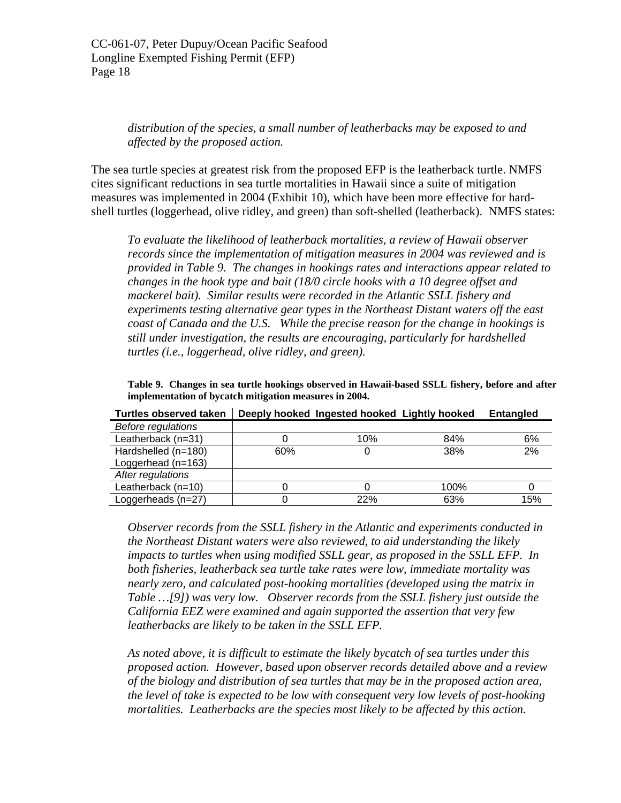*distribution of the species, a small number of leatherbacks may be exposed to and affected by the proposed action.* 

The sea turtle species at greatest risk from the proposed EFP is the leatherback turtle. NMFS cites significant reductions in sea turtle mortalities in Hawaii since a suite of mitigation measures was implemented in 2004 (Exhibit 10), which have been more effective for hardshell turtles (loggerhead, olive ridley, and green) than soft-shelled (leatherback). NMFS states:

*To evaluate the likelihood of leatherback mortalities, a review of Hawaii observer records since the implementation of mitigation measures in 2004 was reviewed and is provided in Table 9. The changes in hookings rates and interactions appear related to changes in the hook type and bait (18/0 circle hooks with a 10 degree offset and mackerel bait). Similar results were recorded in the Atlantic SSLL fishery and experiments testing alternative gear types in the Northeast Distant waters off the east coast of Canada and the U.S. While the precise reason for the change in hookings is still under investigation, the results are encouraging, particularly for hardshelled turtles (i.e., loggerhead, olive ridley, and green).* 

**Table 9. Changes in sea turtle hookings observed in Hawaii-based SSLL fishery, before and after implementation of bycatch mitigation measures in 2004.** 

| <b>Before regulations</b> |     |     |      |     |
|---------------------------|-----|-----|------|-----|
| Leatherback (n=31)        |     | 10% | 84%  | 6%  |
| Hardshelled (n=180)       | 60% |     | 38%  | 2%  |
| Loggerhead $(n=163)$      |     |     |      |     |
| After regulations         |     |     |      |     |
| Leatherback $(n=10)$      |     |     | 100% |     |
| Loggerheads (n=27)        |     | 22% | 63%  | 15% |

**Turtles observed taken Deeply hooked Ingested hooked Lightly hooked Entangled** 

*Observer records from the SSLL fishery in the Atlantic and experiments conducted in the Northeast Distant waters were also reviewed, to aid understanding the likely impacts to turtles when using modified SSLL gear, as proposed in the SSLL EFP. In both fisheries, leatherback sea turtle take rates were low, immediate mortality was nearly zero, and calculated post-hooking mortalities (developed using the matrix in Table …[9]) was very low. Observer records from the SSLL fishery just outside the California EEZ were examined and again supported the assertion that very few leatherbacks are likely to be taken in the SSLL EFP.* 

*As noted above, it is difficult to estimate the likely bycatch of sea turtles under this proposed action. However, based upon observer records detailed above and a review of the biology and distribution of sea turtles that may be in the proposed action area, the level of take is expected to be low with consequent very low levels of post-hooking mortalities. Leatherbacks are the species most likely to be affected by this action.*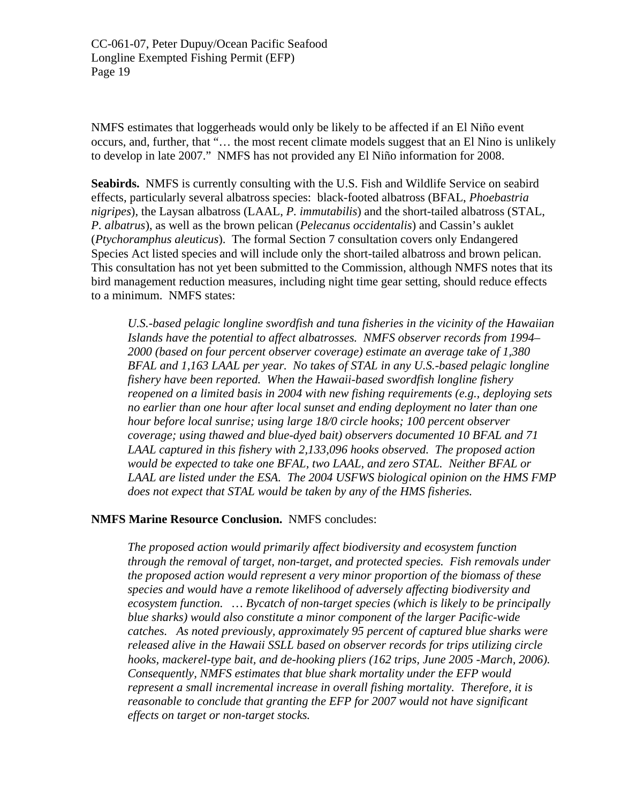NMFS estimates that loggerheads would only be likely to be affected if an El Niño event occurs, and, further, that "… the most recent climate models suggest that an El Nino is unlikely to develop in late 2007." NMFS has not provided any El Niño information for 2008.

**Seabirds.** NMFS is currently consulting with the U.S. Fish and Wildlife Service on seabird effects, particularly several albatross species: black-footed albatross (BFAL, *Phoebastria nigripes*), the Laysan albatross (LAAL, *P. immutabilis*) and the short-tailed albatross (STAL, *P. albatrus*), as well as the brown pelican (*Pelecanus occidentalis*) and Cassin's auklet (*Ptychoramphus aleuticus*). The formal Section 7 consultation covers only Endangered Species Act listed species and will include only the short-tailed albatross and brown pelican. This consultation has not yet been submitted to the Commission, although NMFS notes that its bird management reduction measures, including night time gear setting, should reduce effects to a minimum. NMFS states:

*U.S.-based pelagic longline swordfish and tuna fisheries in the vicinity of the Hawaiian Islands have the potential to affect albatrosses. NMFS observer records from 1994– 2000 (based on four percent observer coverage) estimate an average take of 1,380 BFAL and 1,163 LAAL per year. No takes of STAL in any U.S.-based pelagic longline fishery have been reported. When the Hawaii-based swordfish longline fishery reopened on a limited basis in 2004 with new fishing requirements (e.g., deploying sets no earlier than one hour after local sunset and ending deployment no later than one hour before local sunrise; using large 18/0 circle hooks; 100 percent observer coverage; using thawed and blue-dyed bait) observers documented 10 BFAL and 71 LAAL captured in this fishery with 2,133,096 hooks observed. The proposed action would be expected to take one BFAL, two LAAL, and zero STAL. Neither BFAL or LAAL are listed under the ESA. The 2004 USFWS biological opinion on the HMS FMP does not expect that STAL would be taken by any of the HMS fisheries.* 

#### **NMFS Marine Resource Conclusion.** NMFS concludes:

*The proposed action would primarily affect biodiversity and ecosystem function through the removal of target, non-target, and protected species. Fish removals under the proposed action would represent a very minor proportion of the biomass of these species and would have a remote likelihood of adversely affecting biodiversity and ecosystem function. … Bycatch of non-target species (which is likely to be principally blue sharks) would also constitute a minor component of the larger Pacific-wide catches. As noted previously, approximately 95 percent of captured blue sharks were released alive in the Hawaii SSLL based on observer records for trips utilizing circle hooks, mackerel-type bait, and de-hooking pliers (162 trips, June 2005 -March, 2006). Consequently, NMFS estimates that blue shark mortality under the EFP would represent a small incremental increase in overall fishing mortality. Therefore, it is reasonable to conclude that granting the EFP for 2007 would not have significant effects on target or non-target stocks.*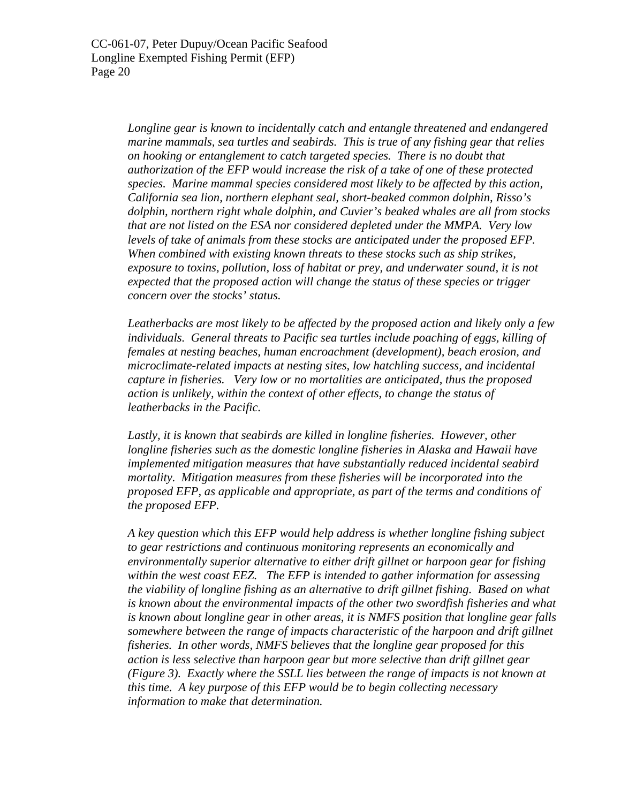*Longline gear is known to incidentally catch and entangle threatened and endangered marine mammals, sea turtles and seabirds. This is true of any fishing gear that relies on hooking or entanglement to catch targeted species. There is no doubt that authorization of the EFP would increase the risk of a take of one of these protected species. Marine mammal species considered most likely to be affected by this action, California sea lion, northern elephant seal, short-beaked common dolphin, Risso's dolphin, northern right whale dolphin, and Cuvier's beaked whales are all from stocks that are not listed on the ESA nor considered depleted under the MMPA. Very low levels of take of animals from these stocks are anticipated under the proposed EFP. When combined with existing known threats to these stocks such as ship strikes, exposure to toxins, pollution, loss of habitat or prey, and underwater sound, it is not expected that the proposed action will change the status of these species or trigger concern over the stocks' status.* 

*Leatherbacks are most likely to be affected by the proposed action and likely only a few*  individuals. General threats to Pacific sea turtles include poaching of eggs, killing of *females at nesting beaches, human encroachment (development), beach erosion, and microclimate-related impacts at nesting sites, low hatchling success, and incidental capture in fisheries. Very low or no mortalities are anticipated, thus the proposed action is unlikely, within the context of other effects, to change the status of leatherbacks in the Pacific.* 

Lastly, it is known that seabirds are killed in longline fisheries. However, other *longline fisheries such as the domestic longline fisheries in Alaska and Hawaii have implemented mitigation measures that have substantially reduced incidental seabird mortality. Mitigation measures from these fisheries will be incorporated into the proposed EFP, as applicable and appropriate, as part of the terms and conditions of the proposed EFP.* 

*A key question which this EFP would help address is whether longline fishing subject to gear restrictions and continuous monitoring represents an economically and environmentally superior alternative to either drift gillnet or harpoon gear for fishing within the west coast EEZ. The EFP is intended to gather information for assessing the viability of longline fishing as an alternative to drift gillnet fishing. Based on what is known about the environmental impacts of the other two swordfish fisheries and what is known about longline gear in other areas, it is NMFS position that longline gear falls somewhere between the range of impacts characteristic of the harpoon and drift gillnet fisheries. In other words, NMFS believes that the longline gear proposed for this action is less selective than harpoon gear but more selective than drift gillnet gear (Figure 3). Exactly where the SSLL lies between the range of impacts is not known at this time. A key purpose of this EFP would be to begin collecting necessary information to make that determination.*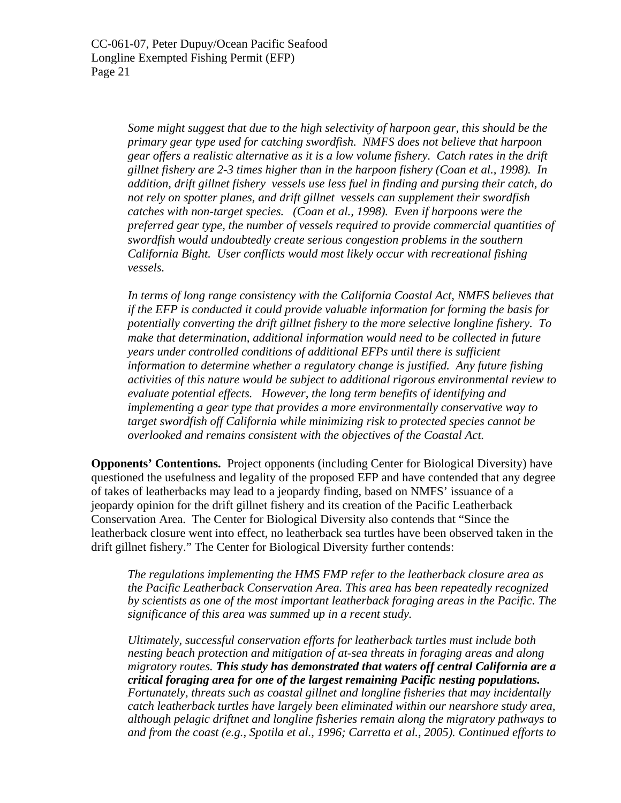*Some might suggest that due to the high selectivity of harpoon gear, this should be the primary gear type used for catching swordfish. NMFS does not believe that harpoon gear offers a realistic alternative as it is a low volume fishery. Catch rates in the drift gillnet fishery are 2-3 times higher than in the harpoon fishery (Coan et al., 1998). In addition, drift gillnet fishery vessels use less fuel in finding and pursing their catch, do not rely on spotter planes, and drift gillnet vessels can supplement their swordfish catches with non-target species. (Coan et al., 1998). Even if harpoons were the preferred gear type, the number of vessels required to provide commercial quantities of swordfish would undoubtedly create serious congestion problems in the southern California Bight. User conflicts would most likely occur with recreational fishing vessels.* 

*In terms of long range consistency with the California Coastal Act, NMFS believes that if the EFP is conducted it could provide valuable information for forming the basis for potentially converting the drift gillnet fishery to the more selective longline fishery. To make that determination, additional information would need to be collected in future years under controlled conditions of additional EFPs until there is sufficient information to determine whether a regulatory change is justified. Any future fishing activities of this nature would be subject to additional rigorous environmental review to evaluate potential effects. However, the long term benefits of identifying and implementing a gear type that provides a more environmentally conservative way to target swordfish off California while minimizing risk to protected species cannot be overlooked and remains consistent with the objectives of the Coastal Act.* 

**Opponents' Contentions.** Project opponents (including Center for Biological Diversity) have questioned the usefulness and legality of the proposed EFP and have contended that any degree of takes of leatherbacks may lead to a jeopardy finding, based on NMFS' issuance of a jeopardy opinion for the drift gillnet fishery and its creation of the Pacific Leatherback Conservation Area. The Center for Biological Diversity also contends that "Since the leatherback closure went into effect, no leatherback sea turtles have been observed taken in the drift gillnet fishery." The Center for Biological Diversity further contends:

*The regulations implementing the HMS FMP refer to the leatherback closure area as the Pacific Leatherback Conservation Area. This area has been repeatedly recognized by scientists as one of the most important leatherback foraging areas in the Pacific. The significance of this area was summed up in a recent study.* 

*Ultimately, successful conservation efforts for leatherback turtles must include both nesting beach protection and mitigation of at-sea threats in foraging areas and along migratory routes. This study has demonstrated that waters off central California are a critical foraging area for one of the largest remaining Pacific nesting populations. Fortunately, threats such as coastal gillnet and longline fisheries that may incidentally catch leatherback turtles have largely been eliminated within our nearshore study area, although pelagic driftnet and longline fisheries remain along the migratory pathways to and from the coast (e.g., Spotila et al., 1996; Carretta et al., 2005). Continued efforts to*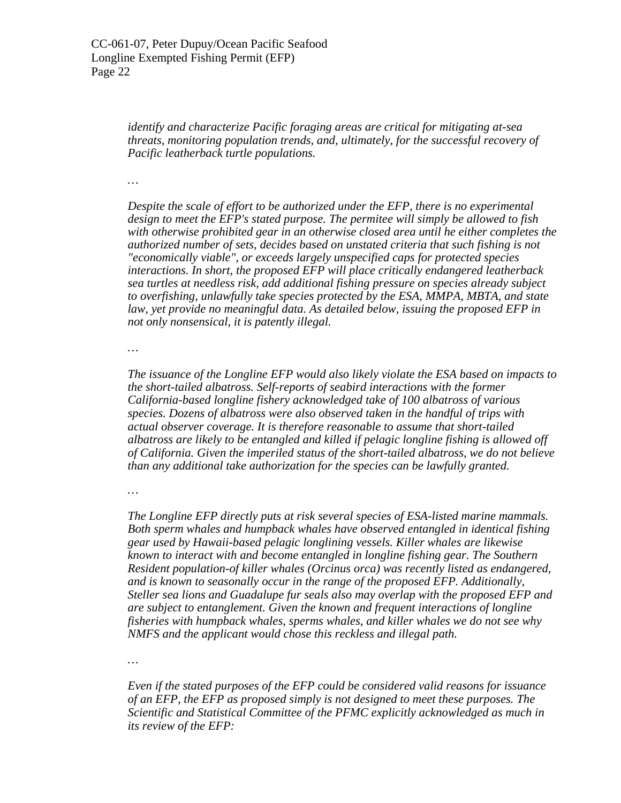*identify and characterize Pacific foraging areas are critical for mitigating at-sea threats, monitoring population trends, and, ultimately, for the successful recovery of Pacific leatherback turtle populations.* 

*…* 

*Despite the scale of effort to be authorized under the EFP, there is no experimental design to meet the EFP's stated purpose. The permitee will simply be allowed to fish with otherwise prohibited gear in an otherwise closed area until he either completes the authorized number of sets, decides based on unstated criteria that such fishing is not "economically viable", or exceeds largely unspecified caps for protected species interactions. In short, the proposed EFP will place critically endangered leatherback sea turtles at needless risk, add additional fishing pressure on species already subject to overfishing, unlawfully take species protected by the ESA, MMPA, MBTA, and state law, yet provide no meaningful data. As detailed below, issuing the proposed EFP in not only nonsensical, it is patently illegal.* 

*…* 

*The issuance of the Longline EFP would also likely violate the ESA based on impacts to the short-tailed albatross. Self-reports of seabird interactions with the former California-based longline fishery acknowledged take of 100 albatross of various species. Dozens of albatross were also observed taken in the handful of trips with actual observer coverage. It is therefore reasonable to assume that short-tailed albatross are likely to be entangled and killed if pelagic longline fishing is allowed off of California. Given the imperiled status of the short-tailed albatross, we do not believe than any additional take authorization for the species can be lawfully granted.* 

*…* 

*The Longline EFP directly puts at risk several species of ESA-listed marine mammals. Both sperm whales and humpback whales have observed entangled in identical fishing gear used by Hawaii-based pelagic longlining vessels. Killer whales are likewise known to interact with and become entangled in longline fishing gear. The Southern Resident population-of killer whales (Orcinus orca) was recently listed as endangered, and is known to seasonally occur in the range of the proposed EFP. Additionally, Steller sea lions and Guadalupe fur seals also may overlap with the proposed EFP and are subject to entanglement. Given the known and frequent interactions of longline fisheries with humpback whales, sperms whales, and killer whales we do not see why NMFS and the applicant would chose this reckless and illegal path.* 

*…* 

*Even if the stated purposes of the EFP could be considered valid reasons for issuance of an EFP, the EFP as proposed simply is not designed to meet these purposes. The Scientific and Statistical Committee of the PFMC explicitly acknowledged as much in its review of the EFP:*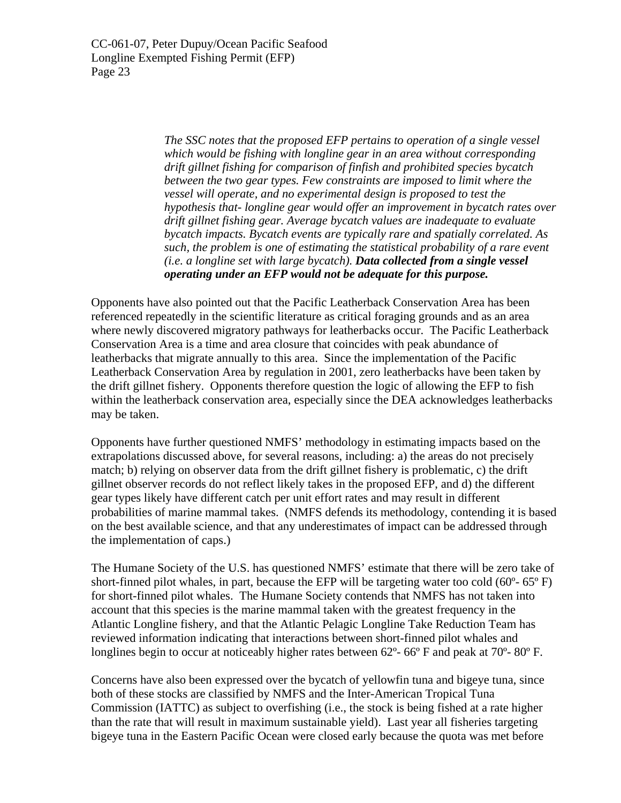> *The SSC notes that the proposed EFP pertains to operation of a single vessel which would be fishing with longline gear in an area without corresponding drift gillnet fishing for comparison of finfish and prohibited species bycatch between the two gear types. Few constraints are imposed to limit where the vessel will operate, and no experimental design is proposed to test the hypothesis that- longline gear would offer an improvement in bycatch rates over drift gillnet fishing gear. Average bycatch values are inadequate to evaluate bycatch impacts. Bycatch events are typically rare and spatially correlated. As such, the problem is one of estimating the statistical probability of a rare event (i.e. a longline set with large bycatch). Data collected from a single vessel operating under an EFP would not be adequate for this purpose.*

Opponents have also pointed out that the Pacific Leatherback Conservation Area has been referenced repeatedly in the scientific literature as critical foraging grounds and as an area where newly discovered migratory pathways for leatherbacks occur. The Pacific Leatherback Conservation Area is a time and area closure that coincides with peak abundance of leatherbacks that migrate annually to this area. Since the implementation of the Pacific Leatherback Conservation Area by regulation in 2001, zero leatherbacks have been taken by the drift gillnet fishery. Opponents therefore question the logic of allowing the EFP to fish within the leatherback conservation area, especially since the DEA acknowledges leatherbacks may be taken.

Opponents have further questioned NMFS' methodology in estimating impacts based on the extrapolations discussed above, for several reasons, including: a) the areas do not precisely match; b) relying on observer data from the drift gillnet fishery is problematic, c) the drift gillnet observer records do not reflect likely takes in the proposed EFP, and d) the different gear types likely have different catch per unit effort rates and may result in different probabilities of marine mammal takes. (NMFS defends its methodology, contending it is based on the best available science, and that any underestimates of impact can be addressed through the implementation of caps.)

The Humane Society of the U.S. has questioned NMFS' estimate that there will be zero take of short-finned pilot whales, in part, because the EFP will be targeting water too cold  $(60^{\circ} - 65^{\circ} F)$ for short-finned pilot whales. The Humane Society contends that NMFS has not taken into account that this species is the marine mammal taken with the greatest frequency in the Atlantic Longline fishery, and that the Atlantic Pelagic Longline Take Reduction Team has reviewed information indicating that interactions between short-finned pilot whales and longlines begin to occur at noticeably higher rates between 62<sup>o</sup>- 66<sup>o</sup> F and peak at 70<sup>o</sup>- 80<sup>o</sup> F.

Concerns have also been expressed over the bycatch of yellowfin tuna and bigeye tuna, since both of these stocks are classified by NMFS and the Inter-American Tropical Tuna Commission (IATTC) as subject to overfishing (i.e., the stock is being fished at a rate higher than the rate that will result in maximum sustainable yield). Last year all fisheries targeting bigeye tuna in the Eastern Pacific Ocean were closed early because the quota was met before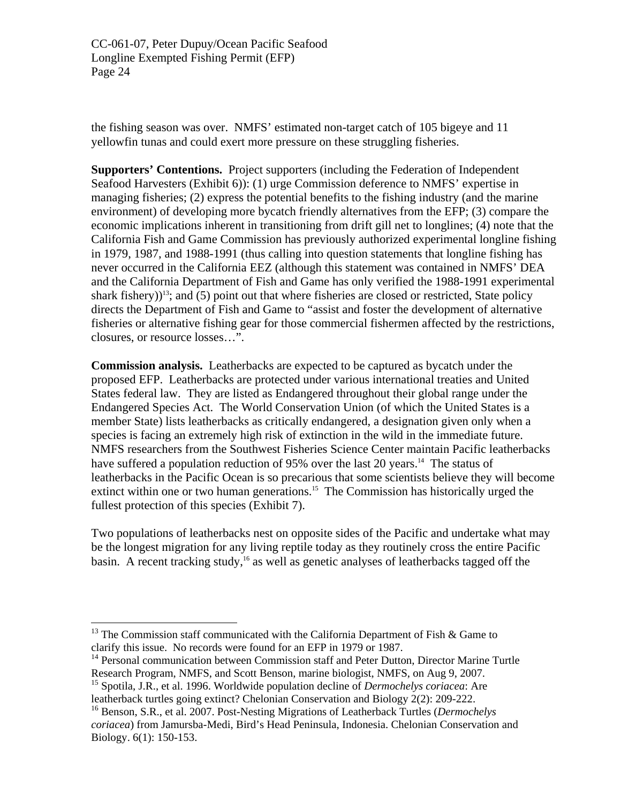the fishing season was over. NMFS' estimated non-target catch of 105 bigeye and 11 yellowfin tunas and could exert more pressure on these struggling fisheries.

**Supporters' Contentions.** Project supporters (including the Federation of Independent Seafood Harvesters (Exhibit 6)): (1) urge Commission deference to NMFS' expertise in managing fisheries; (2) express the potential benefits to the fishing industry (and the marine environment) of developing more bycatch friendly alternatives from the EFP; (3) compare the economic implications inherent in transitioning from drift gill net to longlines; (4) note that the California Fish and Game Commission has previously authorized experimental longline fishing in 1979, 1987, and 1988-1991 (thus calling into question statements that longline fishing has never occurred in the California EEZ (although this statement was contained in NMFS' DEA and the California Department of Fish and Game has only verified the 1988-1991 experimental shark fishery) $13$ ; and (5) point out that where fisheries are closed or restricted, State policy directs the Department of Fish and Game to "assist and foster the development of alternative fisheries or alternative fishing gear for those commercial fishermen affected by the restrictions, closures, or resource losses…".

**Commission analysis.** Leatherbacks are expected to be captured as bycatch under the proposed EFP. Leatherbacks are protected under various international treaties and United States federal law. They are listed as Endangered throughout their global range under the Endangered Species Act. The World Conservation Union (of which the United States is a member State) lists leatherbacks as critically endangered, a designation given only when a species is facing an extremely high risk of extinction in the wild in the immediate future. NMFS researchers from the Southwest Fisheries Science Center maintain Pacific leatherbacks have suffered a population reduction of 95% over the last 20 years.<sup>14</sup> The status of leatherbacks in the Pacific Ocean is so precarious that some scientists believe they will become extinct within one or two human generations.<sup>15</sup> The Commission has historically urged the fullest protection of this species (Exhibit 7).

Two populations of leatherbacks nest on opposite sides of the Pacific and undertake what may be the longest migration for any living reptile today as they routinely cross the entire Pacific basin. A recent tracking study,<sup>16</sup> as well as genetic analyses of leatherbacks tagged off the

1

<span id="page-23-0"></span><sup>&</sup>lt;sup>13</sup> The Commission staff communicated with the California Department of Fish & Game to clarify this issue. No records were found for an EFP in 1979 or 1987.

<span id="page-23-1"></span><sup>&</sup>lt;sup>14</sup> Personal communication between Commission staff and Peter Dutton, Director Marine Turtle Research Program, NMFS, and Scott Benson, marine biologist, NMFS, on Aug 9, 2007.

<span id="page-23-2"></span><sup>15</sup> Spotila, J.R., et al. 1996. Worldwide population decline of *Dermochelys coriacea*: Are leatherback turtles going extinct? Chelonian Conservation and Biology 2(2): 209-222.

<span id="page-23-3"></span><sup>16</sup> Benson, S.R., et al. 2007. Post-Nesting Migrations of Leatherback Turtles (*Dermochelys coriacea*) from Jamursba-Medi, Bird's Head Peninsula, Indonesia. Chelonian Conservation and Biology. 6(1): 150-153.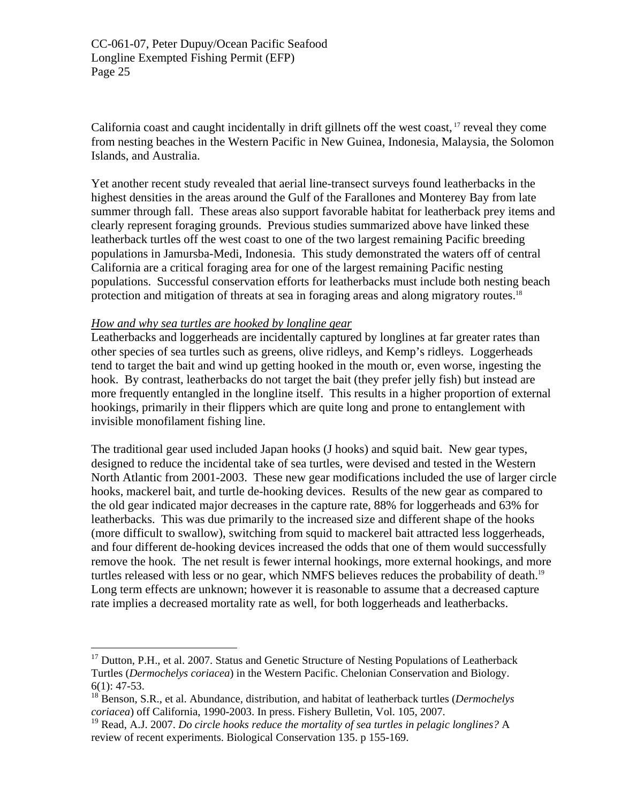California coast and caught incidentally in drift gillnets off the west coast, [17](#page-24-0) reveal they come from nesting beaches in the Western Pacific in New Guinea, Indonesia, Malaysia, the Solomon Islands, and Australia.

Yet another recent study revealed that aerial line-transect surveys found leatherbacks in the highest densities in the areas around the Gulf of the Farallones and Monterey Bay from late summer through fall. These areas also support favorable habitat for leatherback prey items and clearly represent foraging grounds. Previous studies summarized above have linked these leatherback turtles off the west coast to one of the two largest remaining Pacific breeding populations in Jamursba-Medi, Indonesia. This study demonstrated the waters off of central California are a critical foraging area for one of the largest remaining Pacific nesting populations. Successful conservation efforts for leatherbacks must include both nesting beach protection and mitigation of threats at sea in foraging areas and along migratory routes.<sup>18</sup>

#### *How and why sea turtles are hooked by longline gear*

1

Leatherbacks and loggerheads are incidentally captured by longlines at far greater rates than other species of sea turtles such as greens, olive ridleys, and Kemp's ridleys. Loggerheads tend to target the bait and wind up getting hooked in the mouth or, even worse, ingesting the hook. By contrast, leatherbacks do not target the bait (they prefer jelly fish) but instead are more frequently entangled in the longline itself. This results in a higher proportion of external hookings, primarily in their flippers which are quite long and prone to entanglement with invisible monofilament fishing line.

The traditional gear used included Japan hooks (J hooks) and squid bait. New gear types, designed to reduce the incidental take of sea turtles, were devised and tested in the Western North Atlantic from 2001-2003. These new gear modifications included the use of larger circle hooks, mackerel bait, and turtle de-hooking devices. Results of the new gear as compared to the old gear indicated major decreases in the capture rate, 88% for loggerheads and 63% for leatherbacks. This was due primarily to the increased size and different shape of the hooks (more difficult to swallow), switching from squid to mackerel bait attracted less loggerheads, and four different de-hooking devices increased the odds that one of them would successfully remove the hook. The net result is fewer internal hookings, more external hookings, and more turtles released with less or no gear, which NMFS believes reduces the probability of death.<sup>19</sup> Long term effects are unknown; however it is reasonable to assume that a decreased capture rate implies a decreased mortality rate as well, for both loggerheads and leatherbacks.

<span id="page-24-0"></span><sup>&</sup>lt;sup>17</sup> Dutton, P.H., et al. 2007. Status and Genetic Structure of Nesting Populations of Leatherback Turtles (*Dermochelys coriacea*) in the Western Pacific. Chelonian Conservation and Biology.  $6(1): 47-53.$ 

<span id="page-24-1"></span><sup>18</sup> Benson, S.R., et al. Abundance, distribution, and habitat of leatherback turtles (*Dermochelys coriacea*) off California, 1990-2003. In press. Fishery Bulletin, Vol. 105, 2007.

<span id="page-24-2"></span><sup>19</sup> Read, A.J. 2007. *Do circle hooks reduce the mortality of sea turtles in pelagic longlines?* A review of recent experiments. Biological Conservation 135. p 155-169.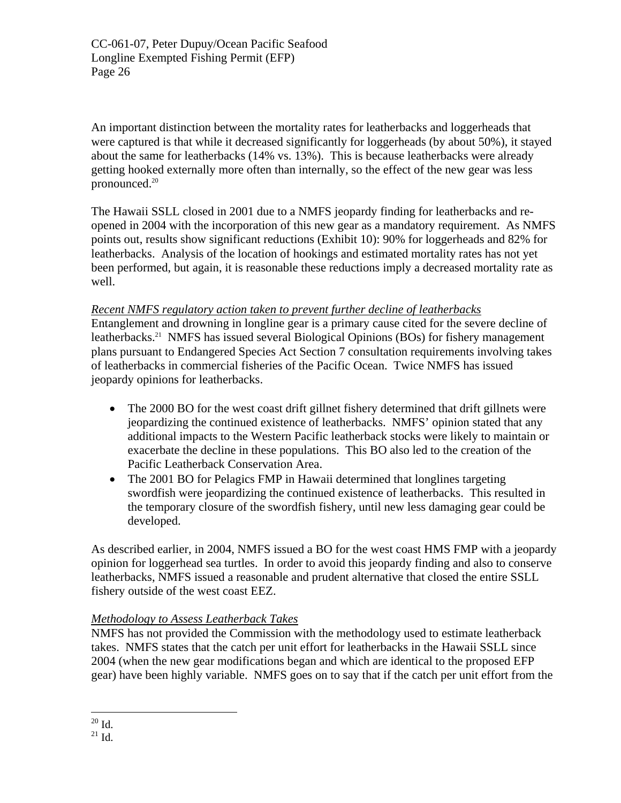An important distinction between the mortality rates for leatherbacks and loggerheads that were captured is that while it decreased significantly for loggerheads (by about 50%), it stayed about the same for leatherbacks (14% vs. 13%). This is because leatherbacks were already getting hooked externally more often than internally, so the effect of the new gear was less pronounced.<sup>20</sup>

The Hawaii SSLL closed in 2001 due to a NMFS jeopardy finding for leatherbacks and reopened in 2004 with the incorporation of this new gear as a mandatory requirement. As NMFS points out, results show significant reductions (Exhibit 10): 90% for loggerheads and 82% for leatherbacks. Analysis of the location of hookings and estimated mortality rates has not yet been performed, but again, it is reasonable these reductions imply a decreased mortality rate as well.

## *Recent NMFS regulatory action taken to prevent further decline of leatherbacks*

Entanglement and drowning in longline gear is a primary cause cited for the severe decline of leatherbacks.<sup>21</sup> NMFS has issued several Biological Opinions (BOs) for fishery management plans pursuant to Endangered Species Act Section 7 consultation requirements involving takes of leatherbacks in commercial fisheries of the Pacific Ocean. Twice NMFS has issued jeopardy opinions for leatherbacks.

- The 2000 BO for the west coast drift gillnet fishery determined that drift gillnets were jeopardizing the continued existence of leatherbacks. NMFS' opinion stated that any additional impacts to the Western Pacific leatherback stocks were likely to maintain or exacerbate the decline in these populations. This BO also led to the creation of the Pacific Leatherback Conservation Area.
- The 2001 BO for Pelagics FMP in Hawaii determined that longlines targeting swordfish were jeopardizing the continued existence of leatherbacks. This resulted in the temporary closure of the swordfish fishery, until new less damaging gear could be developed.

As described earlier, in 2004, NMFS issued a BO for the west coast HMS FMP with a jeopardy opinion for loggerhead sea turtles. In order to avoid this jeopardy finding and also to conserve leatherbacks, NMFS issued a reasonable and prudent alternative that closed the entire SSLL fishery outside of the west coast EEZ.

# *Methodology to Assess Leatherback Takes*

<span id="page-25-1"></span><span id="page-25-0"></span>NMFS has not provided the Commission with the methodology used to estimate leatherback takes. NMFS states that the catch per unit effort for leatherbacks in the Hawaii SSLL since 2004 (when the new gear modifications began and which are identical to the proposed EFP gear) have been highly variable. NMFS goes on to say that if the catch per unit effort from the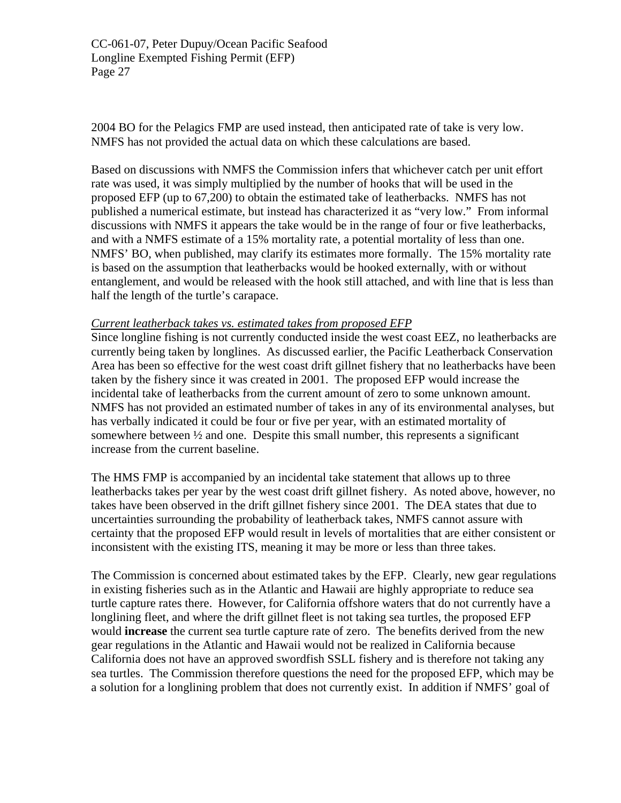2004 BO for the Pelagics FMP are used instead, then anticipated rate of take is very low. NMFS has not provided the actual data on which these calculations are based.

Based on discussions with NMFS the Commission infers that whichever catch per unit effort rate was used, it was simply multiplied by the number of hooks that will be used in the proposed EFP (up to 67,200) to obtain the estimated take of leatherbacks. NMFS has not published a numerical estimate, but instead has characterized it as "very low." From informal discussions with NMFS it appears the take would be in the range of four or five leatherbacks, and with a NMFS estimate of a 15% mortality rate, a potential mortality of less than one. NMFS' BO, when published, may clarify its estimates more formally. The 15% mortality rate is based on the assumption that leatherbacks would be hooked externally, with or without entanglement, and would be released with the hook still attached, and with line that is less than half the length of the turtle's carapace.

#### *Current leatherback takes vs. estimated takes from proposed EFP*

Since longline fishing is not currently conducted inside the west coast EEZ, no leatherbacks are currently being taken by longlines. As discussed earlier, the Pacific Leatherback Conservation Area has been so effective for the west coast drift gillnet fishery that no leatherbacks have been taken by the fishery since it was created in 2001. The proposed EFP would increase the incidental take of leatherbacks from the current amount of zero to some unknown amount. NMFS has not provided an estimated number of takes in any of its environmental analyses, but has verbally indicated it could be four or five per year, with an estimated mortality of somewhere between ½ and one. Despite this small number, this represents a significant increase from the current baseline.

The HMS FMP is accompanied by an incidental take statement that allows up to three leatherbacks takes per year by the west coast drift gillnet fishery. As noted above, however, no takes have been observed in the drift gillnet fishery since 2001. The DEA states that due to uncertainties surrounding the probability of leatherback takes, NMFS cannot assure with certainty that the proposed EFP would result in levels of mortalities that are either consistent or inconsistent with the existing ITS, meaning it may be more or less than three takes.

The Commission is concerned about estimated takes by the EFP. Clearly, new gear regulations in existing fisheries such as in the Atlantic and Hawaii are highly appropriate to reduce sea turtle capture rates there. However, for California offshore waters that do not currently have a longlining fleet, and where the drift gillnet fleet is not taking sea turtles, the proposed EFP would **increase** the current sea turtle capture rate of zero. The benefits derived from the new gear regulations in the Atlantic and Hawaii would not be realized in California because California does not have an approved swordfish SSLL fishery and is therefore not taking any sea turtles. The Commission therefore questions the need for the proposed EFP, which may be a solution for a longlining problem that does not currently exist. In addition if NMFS' goal of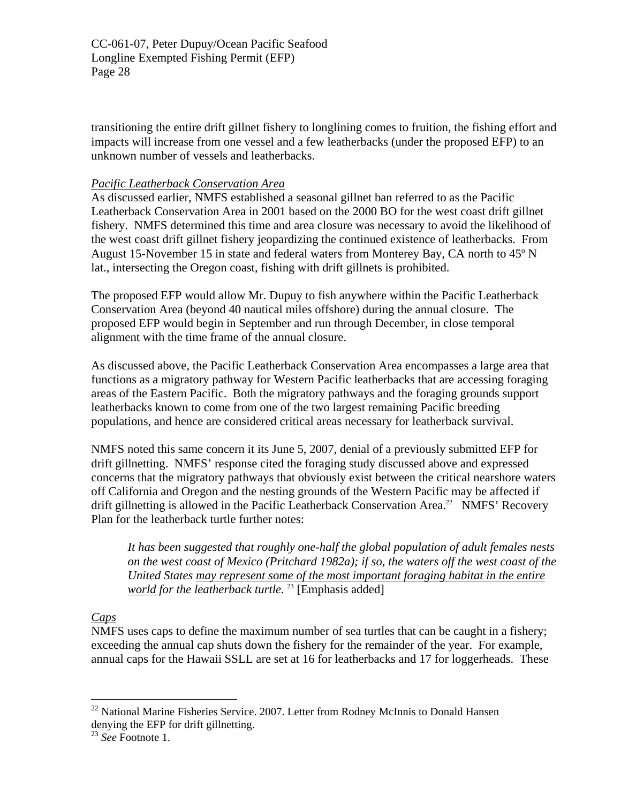transitioning the entire drift gillnet fishery to longlining comes to fruition, the fishing effort and impacts will increase from one vessel and a few leatherbacks (under the proposed EFP) to an unknown number of vessels and leatherbacks.

# *Pacific Leatherback Conservation Area*

As discussed earlier, NMFS established a seasonal gillnet ban referred to as the Pacific Leatherback Conservation Area in 2001 based on the 2000 BO for the west coast drift gillnet fishery. NMFS determined this time and area closure was necessary to avoid the likelihood of the west coast drift gillnet fishery jeopardizing the continued existence of leatherbacks. From August 15-November 15 in state and federal waters from Monterey Bay, CA north to 45º N lat., intersecting the Oregon coast, fishing with drift gillnets is prohibited.

The proposed EFP would allow Mr. Dupuy to fish anywhere within the Pacific Leatherback Conservation Area (beyond 40 nautical miles offshore) during the annual closure. The proposed EFP would begin in September and run through December, in close temporal alignment with the time frame of the annual closure.

As discussed above, the Pacific Leatherback Conservation Area encompasses a large area that functions as a migratory pathway for Western Pacific leatherbacks that are accessing foraging areas of the Eastern Pacific. Both the migratory pathways and the foraging grounds support leatherbacks known to come from one of the two largest remaining Pacific breeding populations, and hence are considered critical areas necessary for leatherback survival.

NMFS noted this same concern it its June 5, 2007, denial of a previously submitted EFP for drift gillnetting. NMFS' response cited the foraging study discussed above and expressed concerns that the migratory pathways that obviously exist between the critical nearshore waters off California and Oregon and the nesting grounds of the Western Pacific may be affected if drift gillnetting is allowed in the Pacific Leatherback Conservation Area.<sup>22</sup> NMFS' Recovery Plan for the leatherback turtle further notes:

*It has been suggested that roughly one-half the global population of adult females nests on the west coast of Mexico (Pritchard 1982a); if so, the waters off the west coast of the United States may represent some of the most important foraging habitat in the entire world for the leatherback turtle.*<sup>23</sup> [Emphasis added]

# *Caps*

 $\overline{a}$ 

NMFS uses caps to define the maximum number of sea turtles that can be caught in a fishery; exceeding the annual cap shuts down the fishery for the remainder of the year. For example, annual caps for the Hawaii SSLL are set at 16 for leatherbacks and 17 for loggerheads. These

<span id="page-27-0"></span> $22$  National Marine Fisheries Service. 2007. Letter from Rodney McInnis to Donald Hansen denying the EFP for drift gillnetting.

<span id="page-27-1"></span><sup>23</sup> *See* Footnote 1.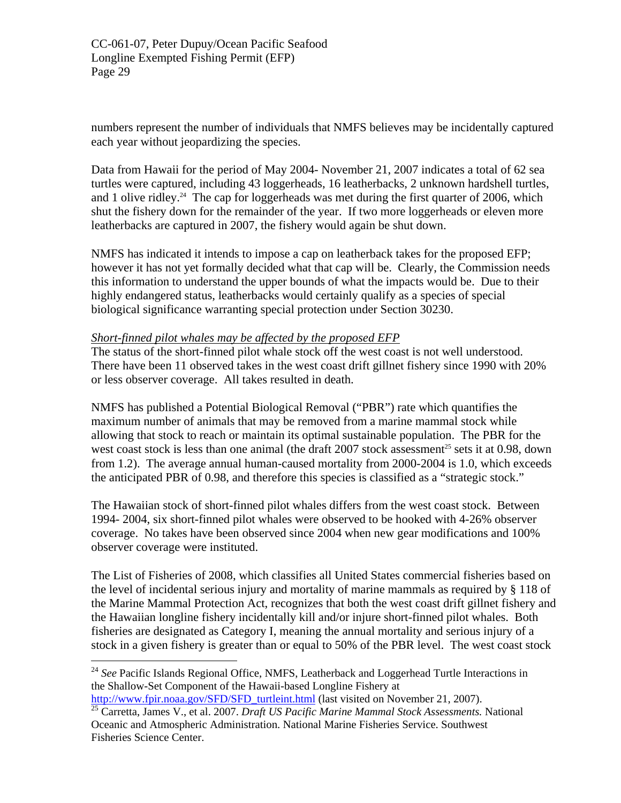numbers represent the number of individuals that NMFS believes may be incidentally captured each year without jeopardizing the species.

Data from Hawaii for the period of May 2004- November 21, 2007 indicates a total of 62 sea turtles were captured, including 43 loggerheads, 16 leatherbacks, 2 unknown hardshell turtles, and 1 olive ridley.<sup>24</sup> The cap for loggerheads was met during the first quarter of 2006, which shut the fishery down for the remainder of the year. If two more loggerheads or eleven more leatherbacks are captured in 2007, the fishery would again be shut down.

NMFS has indicated it intends to impose a cap on leatherback takes for the proposed EFP; however it has not yet formally decided what that cap will be. Clearly, the Commission needs this information to understand the upper bounds of what the impacts would be. Due to their highly endangered status, leatherbacks would certainly qualify as a species of special biological significance warranting special protection under Section 30230.

## *Short-finned pilot whales may be affected by the proposed EFP*

The status of the short-finned pilot whale stock off the west coast is not well understood. There have been 11 observed takes in the west coast drift gillnet fishery since 1990 with 20% or less observer coverage. All takes resulted in death.

NMFS has published a Potential Biological Removal ("PBR") rate which quantifies the maximum number of animals that may be removed from a marine mammal stock while allowing that stock to reach or maintain its optimal sustainable population. The PBR for the west coast stock is less than one animal (the draft  $2007$  stock assessment<sup>25</sup> sets it at 0.98, down from 1.2). The average annual human-caused mortality from 2000-2004 is 1.0, which exceeds the anticipated PBR of 0.98, and therefore this species is classified as a "strategic stock."

The Hawaiian stock of short-finned pilot whales differs from the west coast stock. Between 1994- 2004, six short-finned pilot whales were observed to be hooked with 4-26% observer coverage. No takes have been observed since 2004 when new gear modifications and 100% observer coverage were instituted.

The List of Fisheries of 2008, which classifies all United States commercial fisheries based on the level of incidental serious injury and mortality of marine mammals as required by § 118 of the Marine Mammal Protection Act, recognizes that both the west coast drift gillnet fishery and the Hawaiian longline fishery incidentally kill and/or injure short-finned pilot whales. Both fisheries are designated as Category I, meaning the annual mortality and serious injury of a stock in a given fishery is greater than or equal to 50% of the PBR level. The west coast stock

[http://www.fpir.noaa.gov/SFD/SFD\\_turtleint.html](http://www.fpir.noaa.gov/SFD/SFD_turtleint.html) (last visited on November 21, 2007).

1

<span id="page-28-0"></span><sup>24</sup> *See* Pacific Islands Regional Office, NMFS, Leatherback and Loggerhead Turtle Interactions in the Shallow-Set Component of the Hawaii-based Longline Fishery at

<span id="page-28-1"></span><sup>25</sup> Carretta, James V., et al. 2007. *Draft US Pacific Marine Mammal Stock Assessments.* National Oceanic and Atmospheric Administration. National Marine Fisheries Service. Southwest Fisheries Science Center.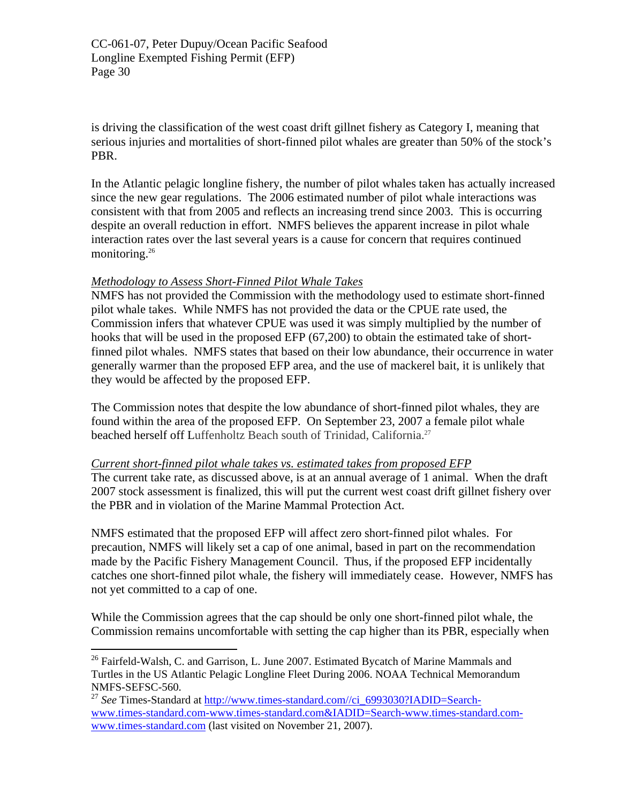is driving the classification of the west coast drift gillnet fishery as Category I, meaning that serious injuries and mortalities of short-finned pilot whales are greater than 50% of the stock's PBR.

In the Atlantic pelagic longline fishery, the number of pilot whales taken has actually increased since the new gear regulations. The 2006 estimated number of pilot whale interactions was consistent with that from 2005 and reflects an increasing trend since 2003. This is occurring despite an overall reduction in effort. NMFS believes the apparent increase in pilot whale interaction rates over the last several years is a cause for concern that requires continued monitoring.<sup>26</sup>

## *Methodology to Assess Short-Finned Pilot Whale Takes*

 $\overline{a}$ 

NMFS has not provided the Commission with the methodology used to estimate short-finned pilot whale takes. While NMFS has not provided the data or the CPUE rate used, the Commission infers that whatever CPUE was used it was simply multiplied by the number of hooks that will be used in the proposed EFP (67,200) to obtain the estimated take of shortfinned pilot whales. NMFS states that based on their low abundance, their occurrence in water generally warmer than the proposed EFP area, and the use of mackerel bait, it is unlikely that they would be affected by the proposed EFP.

The Commission notes that despite the low abundance of short-finned pilot whales, they are found within the area of the proposed EFP. On September 23, 2007 a female pilot whale beached herself off Luffenholtz Beach south of Trinidad, California.<sup>[27](#page-29-1)</sup>

#### *Current short-finned pilot whale takes vs. estimated takes from proposed EFP*

The current take rate, as discussed above, is at an annual average of 1 animal. When the draft 2007 stock assessment is finalized, this will put the current west coast drift gillnet fishery over the PBR and in violation of the Marine Mammal Protection Act.

NMFS estimated that the proposed EFP will affect zero short-finned pilot whales. For precaution, NMFS will likely set a cap of one animal, based in part on the recommendation made by the Pacific Fishery Management Council. Thus, if the proposed EFP incidentally catches one short-finned pilot whale, the fishery will immediately cease. However, NMFS has not yet committed to a cap of one.

While the Commission agrees that the cap should be only one short-finned pilot whale, the Commission remains uncomfortable with setting the cap higher than its PBR, especially when

<span id="page-29-0"></span> $26$  Fairfeld-Walsh, C. and Garrison, L. June 2007. Estimated Bycatch of Marine Mammals and Turtles in the US Atlantic Pelagic Longline Fleet During 2006. NOAA Technical Memorandum NMFS-SEFSC-560.

<span id="page-29-1"></span><sup>27</sup> *See* Times-Standard at [http://www.times-standard.com//ci\\_6993030?IADID=Search](http://www.times-standard.com//ci_6993030?IADID=Search-www.times-standard.com-www.times-standard.com&IADID=Search-www.times-standard.com-www.times-standard.com)[www.times-standard.com-www.times-standard.com&IADID=Search-www.times-standard.com](http://www.times-standard.com//ci_6993030?IADID=Search-www.times-standard.com-www.times-standard.com&IADID=Search-www.times-standard.com-www.times-standard.com)[www.times-standard.com](http://www.times-standard.com//ci_6993030?IADID=Search-www.times-standard.com-www.times-standard.com&IADID=Search-www.times-standard.com-www.times-standard.com) (last visited on November 21, 2007).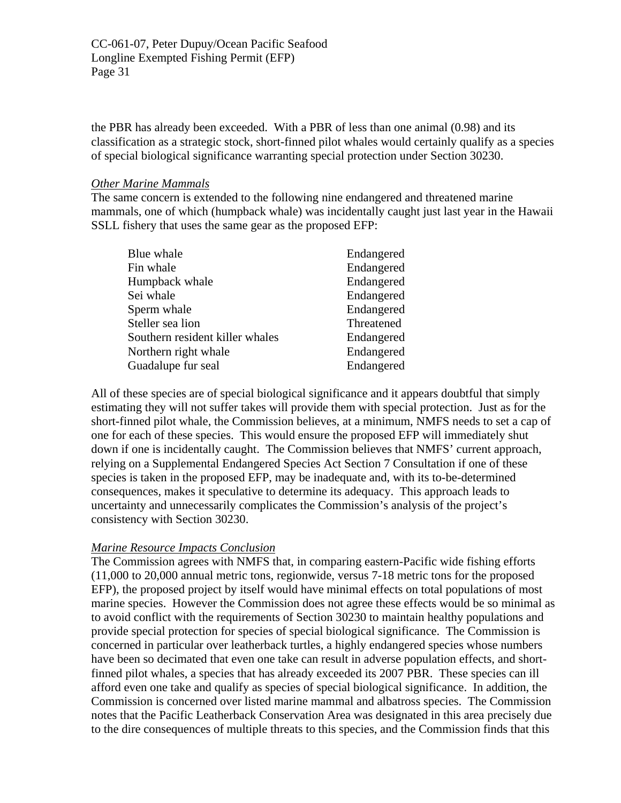the PBR has already been exceeded. With a PBR of less than one animal (0.98) and its classification as a strategic stock, short-finned pilot whales would certainly qualify as a species of special biological significance warranting special protection under Section 30230.

#### *Other Marine Mammals*

The same concern is extended to the following nine endangered and threatened marine mammals, one of which (humpback whale) was incidentally caught just last year in the Hawaii SSLL fishery that uses the same gear as the proposed EFP:

| Blue whale                      | Endangered |
|---------------------------------|------------|
| Fin whale                       | Endangered |
| Humpback whale                  | Endangered |
| Sei whale                       | Endangered |
| Sperm whale                     | Endangered |
| Steller sea lion                | Threatened |
| Southern resident killer whales | Endangered |
| Northern right whale            | Endangered |
| Guadalupe fur seal              | Endangered |
|                                 |            |

All of these species are of special biological significance and it appears doubtful that simply estimating they will not suffer takes will provide them with special protection. Just as for the short-finned pilot whale, the Commission believes, at a minimum, NMFS needs to set a cap of one for each of these species. This would ensure the proposed EFP will immediately shut down if one is incidentally caught. The Commission believes that NMFS' current approach, relying on a Supplemental Endangered Species Act Section 7 Consultation if one of these species is taken in the proposed EFP, may be inadequate and, with its to-be-determined consequences, makes it speculative to determine its adequacy. This approach leads to uncertainty and unnecessarily complicates the Commission's analysis of the project's consistency with Section 30230.

# *Marine Resource Impacts Conclusion*

The Commission agrees with NMFS that, in comparing eastern-Pacific wide fishing efforts (11,000 to 20,000 annual metric tons, regionwide, versus 7-18 metric tons for the proposed EFP), the proposed project by itself would have minimal effects on total populations of most marine species. However the Commission does not agree these effects would be so minimal as to avoid conflict with the requirements of Section 30230 to maintain healthy populations and provide special protection for species of special biological significance. The Commission is concerned in particular over leatherback turtles, a highly endangered species whose numbers have been so decimated that even one take can result in adverse population effects, and shortfinned pilot whales, a species that has already exceeded its 2007 PBR. These species can ill afford even one take and qualify as species of special biological significance. In addition, the Commission is concerned over listed marine mammal and albatross species. The Commission notes that the Pacific Leatherback Conservation Area was designated in this area precisely due to the dire consequences of multiple threats to this species, and the Commission finds that this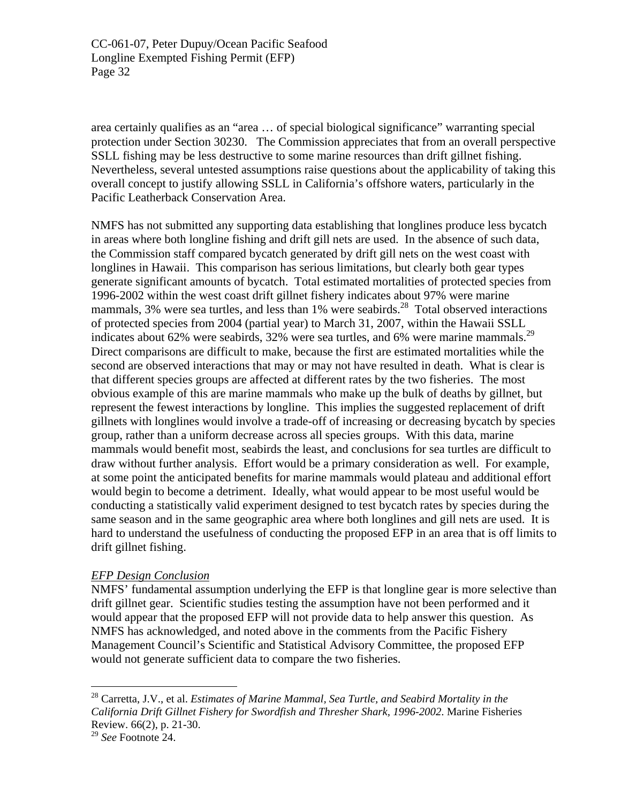area certainly qualifies as an "area … of special biological significance" warranting special protection under Section 30230. The Commission appreciates that from an overall perspective SSLL fishing may be less destructive to some marine resources than drift gillnet fishing. Nevertheless, several untested assumptions raise questions about the applicability of taking this overall concept to justify allowing SSLL in California's offshore waters, particularly in the Pacific Leatherback Conservation Area.

NMFS has not submitted any supporting data establishing that longlines produce less bycatch in areas where both longline fishing and drift gill nets are used. In the absence of such data, the Commission staff compared bycatch generated by drift gill nets on the west coast with longlines in Hawaii. This comparison has serious limitations, but clearly both gear types generate significant amounts of bycatch. Total estimated mortalities of protected species from 1996-2002 within the west coast drift gillnet fishery indicates about 97% were marine mammals,  $3\%$  were sea turtles, and less than  $1\%$  were seabirds.<sup>28</sup> Total observed interactions of protected species from 2004 (partial year) to March 31, 2007, within the Hawaii SSLL indicates about 62% were seabirds, 32% were sea turtles, and 6% were marine mammals.<sup>29</sup> Direct comparisons are difficult to make, because the first are estimated mortalities while the second are observed interactions that may or may not have resulted in death. What is clear is that different species groups are affected at different rates by the two fisheries. The most obvious example of this are marine mammals who make up the bulk of deaths by gillnet, but represent the fewest interactions by longline. This implies the suggested replacement of drift gillnets with longlines would involve a trade-off of increasing or decreasing bycatch by species group, rather than a uniform decrease across all species groups. With this data, marine mammals would benefit most, seabirds the least, and conclusions for sea turtles are difficult to draw without further analysis. Effort would be a primary consideration as well. For example, at some point the anticipated benefits for marine mammals would plateau and additional effort would begin to become a detriment. Ideally, what would appear to be most useful would be conducting a statistically valid experiment designed to test bycatch rates by species during the same season and in the same geographic area where both longlines and gill nets are used. It is hard to understand the usefulness of conducting the proposed EFP in an area that is off limits to drift gillnet fishing.

#### *EFP Design Conclusion*

NMFS' fundamental assumption underlying the EFP is that longline gear is more selective than drift gillnet gear. Scientific studies testing the assumption have not been performed and it would appear that the proposed EFP will not provide data to help answer this question. As NMFS has acknowledged, and noted above in the comments from the Pacific Fishery Management Council's Scientific and Statistical Advisory Committee, the proposed EFP would not generate sufficient data to compare the two fisheries.

<u>.</u>

<span id="page-31-0"></span><sup>28</sup> Carretta, J.V., et al. *Estimates of Marine Mammal, Sea Turtle, and Seabird Mortality in the California Drift Gillnet Fishery for Swordfish and Thresher Shark, 1996-2002*. Marine Fisheries Review. 66(2), p. 21-30.

<span id="page-31-1"></span><sup>29</sup> *See* Footnote 24.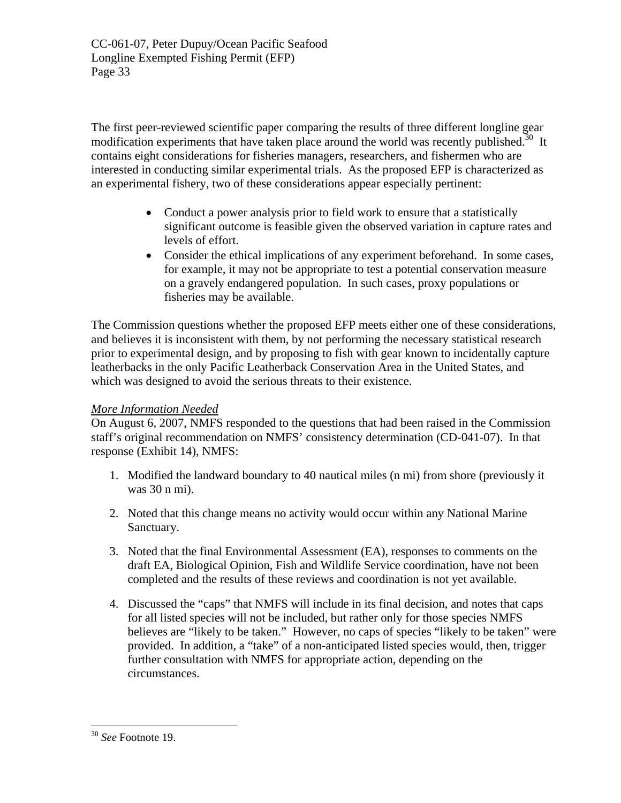The first peer-reviewed scientific paper comparing the results of three different longline gear modification experiments that have taken place around the world was recently published.<sup>30</sup> It contains eight considerations for fisheries managers, researchers, and fishermen who are interested in conducting similar experimental trials. As the proposed EFP is characterized as an experimental fishery, two of these considerations appear especially pertinent:

- Conduct a power analysis prior to field work to ensure that a statistically significant outcome is feasible given the observed variation in capture rates and levels of effort.
- Consider the ethical implications of any experiment beforehand. In some cases, for example, it may not be appropriate to test a potential conservation measure on a gravely endangered population. In such cases, proxy populations or fisheries may be available.

The Commission questions whether the proposed EFP meets either one of these considerations, and believes it is inconsistent with them, by not performing the necessary statistical research prior to experimental design, and by proposing to fish with gear known to incidentally capture leatherbacks in the only Pacific Leatherback Conservation Area in the United States, and which was designed to avoid the serious threats to their existence.

# *More Information Needed*

On August 6, 2007, NMFS responded to the questions that had been raised in the Commission staff's original recommendation on NMFS' consistency determination (CD-041-07). In that response (Exhibit 14), NMFS:

- 1. Modified the landward boundary to 40 nautical miles (n mi) from shore (previously it was 30 n mi).
- 2. Noted that this change means no activity would occur within any National Marine Sanctuary.
- 3. Noted that the final Environmental Assessment (EA), responses to comments on the draft EA, Biological Opinion, Fish and Wildlife Service coordination, have not been completed and the results of these reviews and coordination is not yet available.
- 4. Discussed the "caps" that NMFS will include in its final decision, and notes that caps for all listed species will not be included, but rather only for those species NMFS believes are "likely to be taken." However, no caps of species "likely to be taken" were provided. In addition, a "take" of a non-anticipated listed species would, then, trigger further consultation with NMFS for appropriate action, depending on the circumstances.

 $\overline{a}$ 

<span id="page-32-0"></span><sup>30</sup> *See* Footnote 19.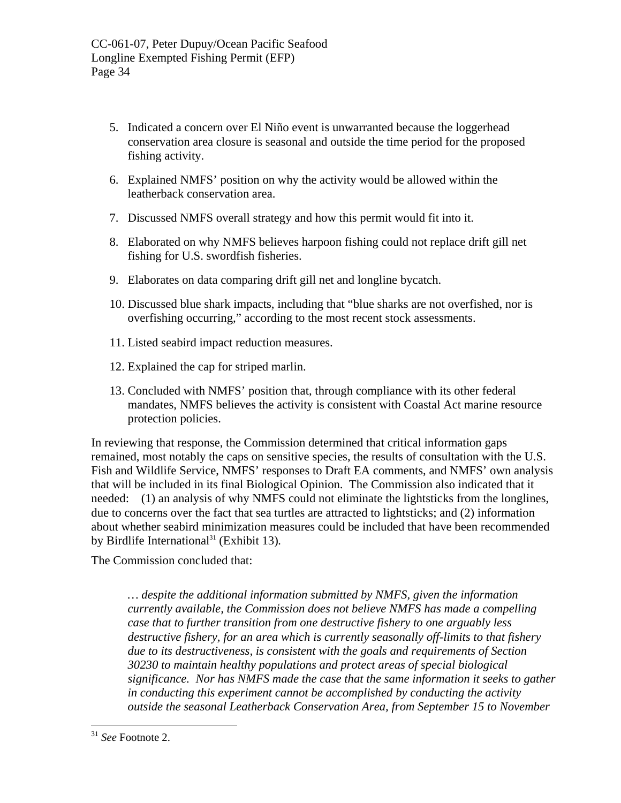- 5. Indicated a concern over El Niño event is unwarranted because the loggerhead conservation area closure is seasonal and outside the time period for the proposed fishing activity.
- 6. Explained NMFS' position on why the activity would be allowed within the leatherback conservation area.
- 7. Discussed NMFS overall strategy and how this permit would fit into it.
- 8. Elaborated on why NMFS believes harpoon fishing could not replace drift gill net fishing for U.S. swordfish fisheries.
- 9. Elaborates on data comparing drift gill net and longline bycatch.
- 10. Discussed blue shark impacts, including that "blue sharks are not overfished, nor is overfishing occurring," according to the most recent stock assessments.
- 11. Listed seabird impact reduction measures.
- 12. Explained the cap for striped marlin.
- 13. Concluded with NMFS' position that, through compliance with its other federal mandates, NMFS believes the activity is consistent with Coastal Act marine resource protection policies.

In reviewing that response, the Commission determined that critical information gaps remained, most notably the caps on sensitive species, the results of consultation with the U.S. Fish and Wildlife Service, NMFS' responses to Draft EA comments, and NMFS' own analysis that will be included in its final Biological Opinion. The Commission also indicated that it needed: (1) an analysis of why NMFS could not eliminate the lightsticks from the longlines, due to concerns over the fact that sea turtles are attracted to lightsticks; and (2) information about whether seabird minimization measures could be included that have been recommended by Birdlife International<sup>31</sup> (Exhibit 13).

The Commission concluded that:

*… despite the additional information submitted by NMFS, given the information currently available, the Commission does not believe NMFS has made a compelling case that to further transition from one destructive fishery to one arguably less destructive fishery, for an area which is currently seasonally off-limits to that fishery due to its destructiveness, is consistent with the goals and requirements of Section 30230 to maintain healthy populations and protect areas of special biological significance. Nor has NMFS made the case that the same information it seeks to gather in conducting this experiment cannot be accomplished by conducting the activity outside the seasonal Leatherback Conservation Area, from September 15 to November* 

<u>.</u>

<span id="page-33-0"></span><sup>31</sup> *See* Footnote 2.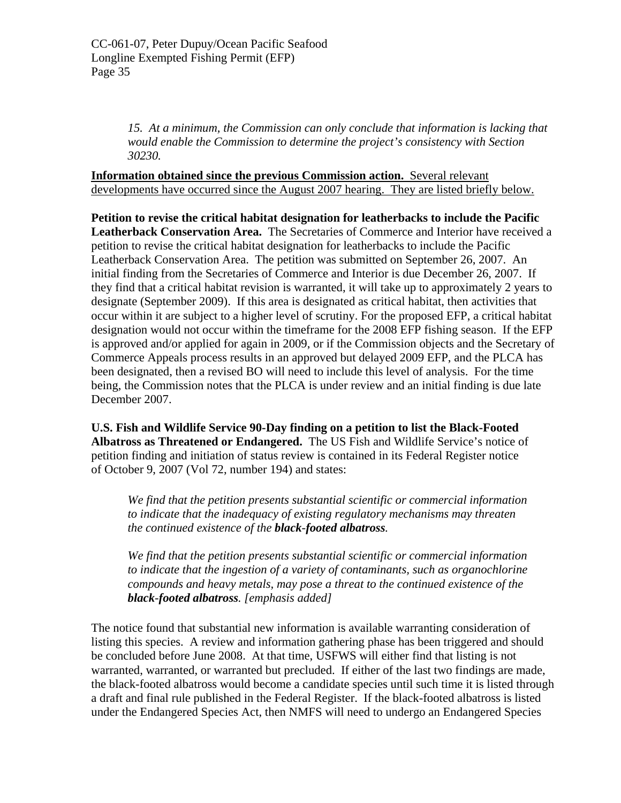*15. At a minimum, the Commission can only conclude that information is lacking that would enable the Commission to determine the project's consistency with Section 30230.* 

**Information obtained since the previous Commission action.** Several relevant developments have occurred since the August 2007 hearing. They are listed briefly below.

**Petition to revise the critical habitat designation for leatherbacks to include the Pacific Leatherback Conservation Area.** The Secretaries of Commerce and Interior have received a petition to revise the critical habitat designation for leatherbacks to include the Pacific Leatherback Conservation Area. The petition was submitted on September 26, 2007. An initial finding from the Secretaries of Commerce and Interior is due December 26, 2007. If they find that a critical habitat revision is warranted, it will take up to approximately 2 years to designate (September 2009). If this area is designated as critical habitat, then activities that occur within it are subject to a higher level of scrutiny. For the proposed EFP, a critical habitat designation would not occur within the timeframe for the 2008 EFP fishing season. If the EFP is approved and/or applied for again in 2009, or if the Commission objects and the Secretary of Commerce Appeals process results in an approved but delayed 2009 EFP, and the PLCA has been designated, then a revised BO will need to include this level of analysis. For the time being, the Commission notes that the PLCA is under review and an initial finding is due late December 2007.

**U.S. Fish and Wildlife Service 90-Day finding on a petition to list the Black-Footed Albatross as Threatened or Endangered.** The US Fish and Wildlife Service's notice of petition finding and initiation of status review is contained in its Federal Register notice of October 9, 2007 (Vol 72, number 194) and states:

*We find that the petition presents substantial scientific or commercial information to indicate that the inadequacy of existing regulatory mechanisms may threaten the continued existence of the black-footed albatross.* 

*We find that the petition presents substantial scientific or commercial information to indicate that the ingestion of a variety of contaminants, such as organochlorine compounds and heavy metals, may pose a threat to the continued existence of the black-footed albatross. [emphasis added]*

The notice found that substantial new information is available warranting consideration of listing this species. A review and information gathering phase has been triggered and should be concluded before June 2008. At that time, USFWS will either find that listing is not warranted, warranted, or warranted but precluded. If either of the last two findings are made, the black-footed albatross would become a candidate species until such time it is listed through a draft and final rule published in the Federal Register. If the black-footed albatross is listed under the Endangered Species Act, then NMFS will need to undergo an Endangered Species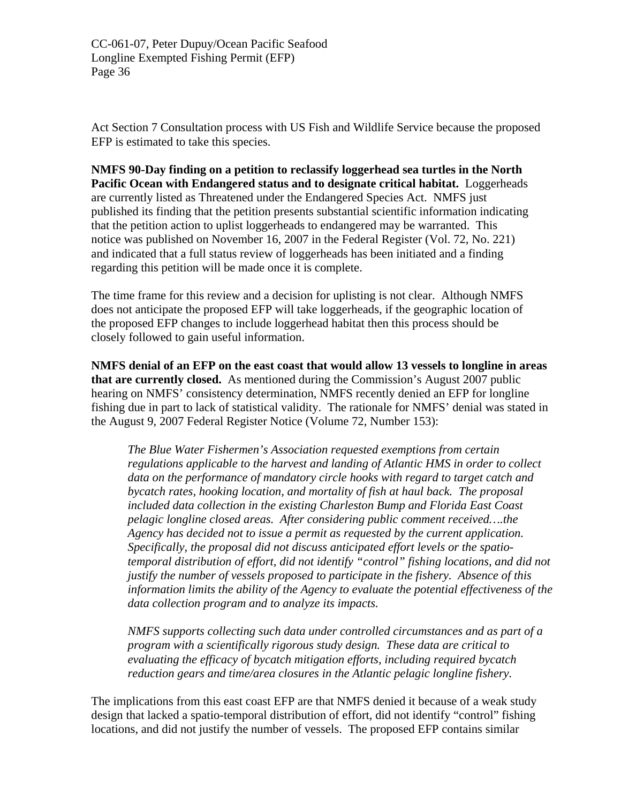Act Section 7 Consultation process with US Fish and Wildlife Service because the proposed EFP is estimated to take this species.

**NMFS 90-Day finding on a petition to reclassify loggerhead sea turtles in the North Pacific Ocean with Endangered status and to designate critical habitat.** Loggerheads are currently listed as Threatened under the Endangered Species Act. NMFS just published its finding that the petition presents substantial scientific information indicating that the petition action to uplist loggerheads to endangered may be warranted. This notice was published on November 16, 2007 in the Federal Register (Vol. 72, No. 221) and indicated that a full status review of loggerheads has been initiated and a finding regarding this petition will be made once it is complete.

The time frame for this review and a decision for uplisting is not clear. Although NMFS does not anticipate the proposed EFP will take loggerheads, if the geographic location of the proposed EFP changes to include loggerhead habitat then this process should be closely followed to gain useful information.

**NMFS denial of an EFP on the east coast that would allow 13 vessels to longline in areas that are currently closed.** As mentioned during the Commission's August 2007 public hearing on NMFS' consistency determination, NMFS recently denied an EFP for longline fishing due in part to lack of statistical validity. The rationale for NMFS' denial was stated in the August 9, 2007 Federal Register Notice (Volume 72, Number 153):

*The Blue Water Fishermen's Association requested exemptions from certain regulations applicable to the harvest and landing of Atlantic HMS in order to collect data on the performance of mandatory circle hooks with regard to target catch and bycatch rates, hooking location, and mortality of fish at haul back. The proposal included data collection in the existing Charleston Bump and Florida East Coast pelagic longline closed areas. After considering public comment received….the Agency has decided not to issue a permit as requested by the current application. Specifically, the proposal did not discuss anticipated effort levels or the spatiotemporal distribution of effort, did not identify "control" fishing locations, and did not justify the number of vessels proposed to participate in the fishery. Absence of this information limits the ability of the Agency to evaluate the potential effectiveness of the data collection program and to analyze its impacts.* 

*NMFS supports collecting such data under controlled circumstances and as part of a program with a scientifically rigorous study design. These data are critical to evaluating the efficacy of bycatch mitigation efforts, including required bycatch reduction gears and time/area closures in the Atlantic pelagic longline fishery.* 

The implications from this east coast EFP are that NMFS denied it because of a weak study design that lacked a spatio-temporal distribution of effort, did not identify "control" fishing locations, and did not justify the number of vessels. The proposed EFP contains similar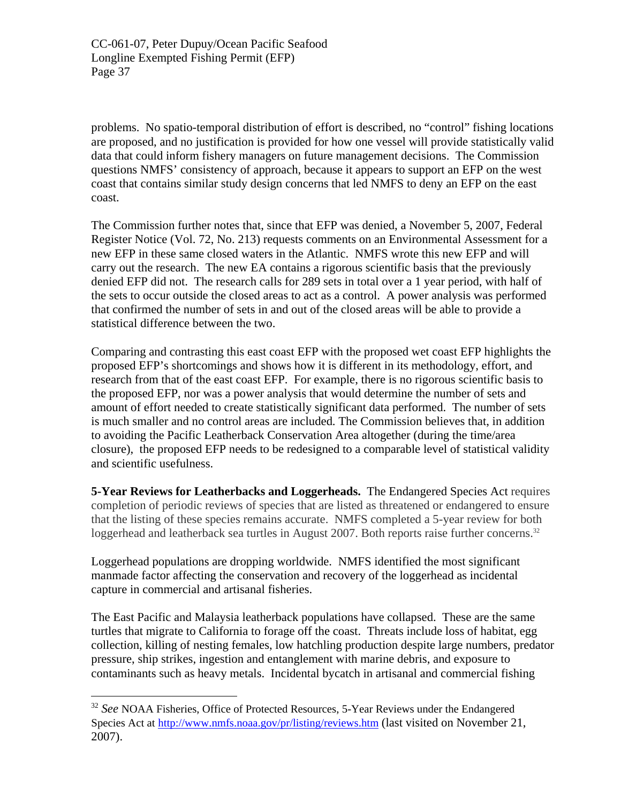problems. No spatio-temporal distribution of effort is described, no "control" fishing locations are proposed, and no justification is provided for how one vessel will provide statistically valid data that could inform fishery managers on future management decisions. The Commission questions NMFS' consistency of approach, because it appears to support an EFP on the west coast that contains similar study design concerns that led NMFS to deny an EFP on the east coast.

The Commission further notes that, since that EFP was denied, a November 5, 2007, Federal Register Notice (Vol. 72, No. 213) requests comments on an Environmental Assessment for a new EFP in these same closed waters in the Atlantic. NMFS wrote this new EFP and will carry out the research. The new EA contains a rigorous scientific basis that the previously denied EFP did not. The research calls for 289 sets in total over a 1 year period, with half of the sets to occur outside the closed areas to act as a control. A power analysis was performed that confirmed the number of sets in and out of the closed areas will be able to provide a statistical difference between the two.

Comparing and contrasting this east coast EFP with the proposed wet coast EFP highlights the proposed EFP's shortcomings and shows how it is different in its methodology, effort, and research from that of the east coast EFP. For example, there is no rigorous scientific basis to the proposed EFP, nor was a power analysis that would determine the number of sets and amount of effort needed to create statistically significant data performed. The number of sets is much smaller and no control areas are included. The Commission believes that, in addition to avoiding the Pacific Leatherback Conservation Area altogether (during the time/area closure), the proposed EFP needs to be redesigned to a comparable level of statistical validity and scientific usefulness.

**5-Year Reviews for Leatherbacks and Loggerheads.** The Endangered Species Act requires completion of periodic reviews of species that are listed as threatened or endangered to ensure that the listing of these species remains accurate. NMFS completed a 5-year review for both loggerhead and leatherback sea turtles in August 2007. Both reports raise further concerns.<sup>[32](#page-36-0)</sup>

Loggerhead populations are dropping worldwide. NMFS identified the most significant manmade factor affecting the conservation and recovery of the loggerhead as incidental capture in commercial and artisanal fisheries.

The East Pacific and Malaysia leatherback populations have collapsed. These are the same turtles that migrate to California to forage off the coast. Threats include loss of habitat, egg collection, killing of nesting females, low hatchling production despite large numbers, predator pressure, ship strikes, ingestion and entanglement with marine debris, and exposure to contaminants such as heavy metals. Incidental bycatch in artisanal and commercial fishing

1

<span id="page-36-0"></span><sup>&</sup>lt;sup>32</sup> See NOAA Fisheries, Office of Protected Resources, 5-Year Reviews under the Endangered Species Act at <http://www.nmfs.noaa.gov/pr/listing/reviews.htm>(last visited on November 21, 2007).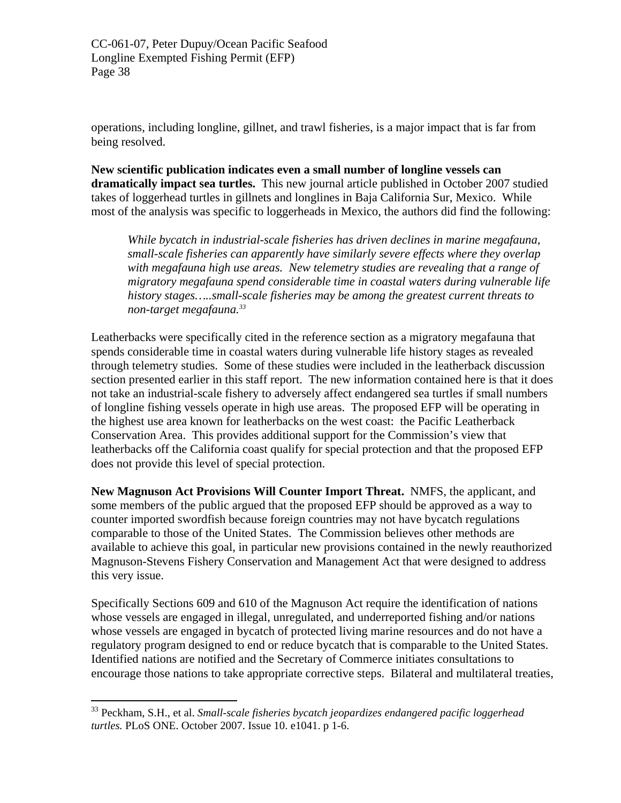operations, including longline, gillnet, and trawl fisheries, is a major impact that is far from being resolved.

**New scientific publication indicates even a small number of longline vessels can dramatically impact sea turtles.** This new journal article published in October 2007 studied takes of loggerhead turtles in gillnets and longlines in Baja California Sur, Mexico. While most of the analysis was specific to loggerheads in Mexico, the authors did find the following:

*While bycatch in industrial-scale fisheries has driven declines in marine megafauna, small-scale fisheries can apparently have similarly severe effects where they overlap with megafauna high use areas. New telemetry studies are revealing that a range of migratory megafauna spend considerable time in coastal waters during vulnerable life history stages…..small-scale fisheries may be among the greatest current threats to non-target megafauna.[33](#page-37-0)*

Leatherbacks were specifically cited in the reference section as a migratory megafauna that spends considerable time in coastal waters during vulnerable life history stages as revealed through telemetry studies. Some of these studies were included in the leatherback discussion section presented earlier in this staff report. The new information contained here is that it does not take an industrial-scale fishery to adversely affect endangered sea turtles if small numbers of longline fishing vessels operate in high use areas. The proposed EFP will be operating in the highest use area known for leatherbacks on the west coast: the Pacific Leatherback Conservation Area. This provides additional support for the Commission's view that leatherbacks off the California coast qualify for special protection and that the proposed EFP does not provide this level of special protection.

**New Magnuson Act Provisions Will Counter Import Threat.** NMFS, the applicant, and some members of the public argued that the proposed EFP should be approved as a way to counter imported swordfish because foreign countries may not have bycatch regulations comparable to those of the United States. The Commission believes other methods are available to achieve this goal, in particular new provisions contained in the newly reauthorized Magnuson-Stevens Fishery Conservation and Management Act that were designed to address this very issue.

Specifically Sections 609 and 610 of the Magnuson Act require the identification of nations whose vessels are engaged in illegal, unregulated, and underreported fishing and/or nations whose vessels are engaged in bycatch of protected living marine resources and do not have a regulatory program designed to end or reduce bycatch that is comparable to the United States. Identified nations are notified and the Secretary of Commerce initiates consultations to encourage those nations to take appropriate corrective steps. Bilateral and multilateral treaties,

 $\overline{a}$ 

<span id="page-37-0"></span><sup>33</sup> Peckham, S.H., et al. *Small-scale fisheries bycatch jeopardizes endangered pacific loggerhead turtles.* PLoS ONE. October 2007. Issue 10. e1041. p 1-6.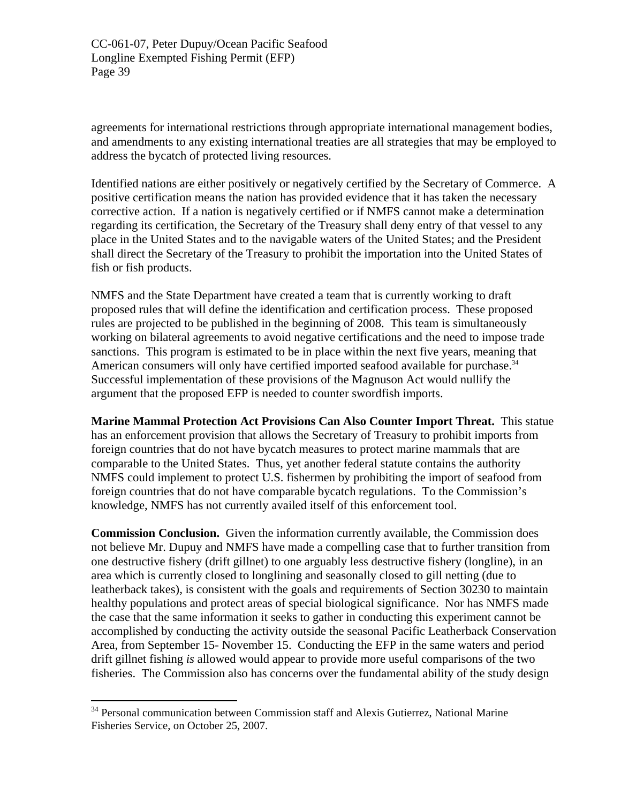agreements for international restrictions through appropriate international management bodies, and amendments to any existing international treaties are all strategies that may be employed to address the bycatch of protected living resources.

Identified nations are either positively or negatively certified by the Secretary of Commerce. A positive certification means the nation has provided evidence that it has taken the necessary corrective action. If a nation is negatively certified or if NMFS cannot make a determination regarding its certification, the Secretary of the Treasury shall deny entry of that vessel to any place in the United States and to the navigable waters of the United States; and the President shall direct the Secretary of the Treasury to prohibit the importation into the United States of fish or fish products.

NMFS and the State Department have created a team that is currently working to draft proposed rules that will define the identification and certification process. These proposed rules are projected to be published in the beginning of 2008. This team is simultaneously working on bilateral agreements to avoid negative certifications and the need to impose trade sanctions. This program is estimated to be in place within the next five years, meaning that American consumers will only have certified imported seafood available for purchase.<sup>34</sup> Successful implementation of these provisions of the Magnuson Act would nullify the argument that the proposed EFP is needed to counter swordfish imports.

**Marine Mammal Protection Act Provisions Can Also Counter Import Threat.** This statue has an enforcement provision that allows the Secretary of Treasury to prohibit imports from foreign countries that do not have bycatch measures to protect marine mammals that are comparable to the United States. Thus, yet another federal statute contains the authority NMFS could implement to protect U.S. fishermen by prohibiting the import of seafood from foreign countries that do not have comparable bycatch regulations. To the Commission's knowledge, NMFS has not currently availed itself of this enforcement tool.

**Commission Conclusion.** Given the information currently available, the Commission does not believe Mr. Dupuy and NMFS have made a compelling case that to further transition from one destructive fishery (drift gillnet) to one arguably less destructive fishery (longline), in an area which is currently closed to longlining and seasonally closed to gill netting (due to leatherback takes), is consistent with the goals and requirements of Section 30230 to maintain healthy populations and protect areas of special biological significance. Nor has NMFS made the case that the same information it seeks to gather in conducting this experiment cannot be accomplished by conducting the activity outside the seasonal Pacific Leatherback Conservation Area, from September 15- November 15. Conducting the EFP in the same waters and period drift gillnet fishing *is* allowed would appear to provide more useful comparisons of the two fisheries. The Commission also has concerns over the fundamental ability of the study design

1

<span id="page-38-0"></span><sup>&</sup>lt;sup>34</sup> Personal communication between Commission staff and Alexis Gutierrez, National Marine Fisheries Service, on October 25, 2007.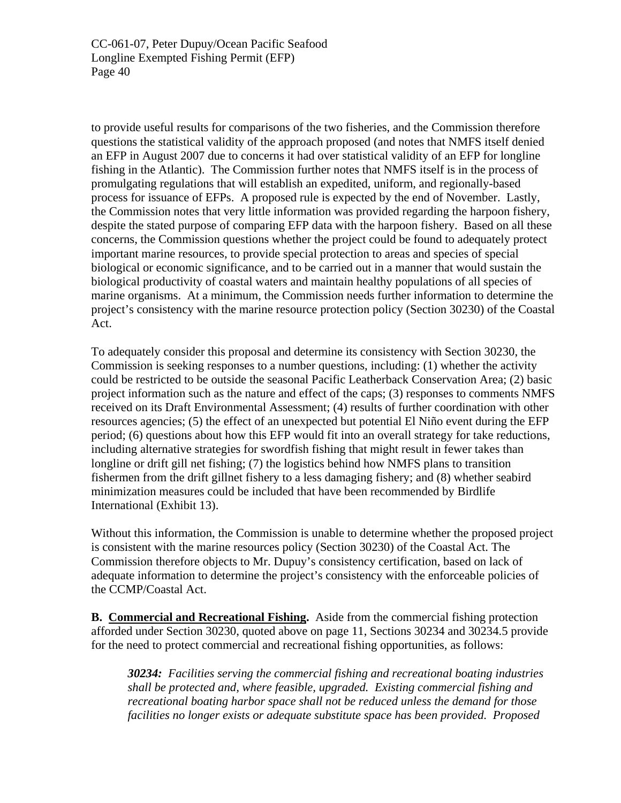to provide useful results for comparisons of the two fisheries, and the Commission therefore questions the statistical validity of the approach proposed (and notes that NMFS itself denied an EFP in August 2007 due to concerns it had over statistical validity of an EFP for longline fishing in the Atlantic). The Commission further notes that NMFS itself is in the process of promulgating regulations that will establish an expedited, uniform, and regionally-based process for issuance of EFPs. A proposed rule is expected by the end of November. Lastly, the Commission notes that very little information was provided regarding the harpoon fishery, despite the stated purpose of comparing EFP data with the harpoon fishery. Based on all these concerns, the Commission questions whether the project could be found to adequately protect important marine resources, to provide special protection to areas and species of special biological or economic significance, and to be carried out in a manner that would sustain the biological productivity of coastal waters and maintain healthy populations of all species of marine organisms. At a minimum, the Commission needs further information to determine the project's consistency with the marine resource protection policy (Section 30230) of the Coastal Act.

To adequately consider this proposal and determine its consistency with Section 30230, the Commission is seeking responses to a number questions, including: (1) whether the activity could be restricted to be outside the seasonal Pacific Leatherback Conservation Area; (2) basic project information such as the nature and effect of the caps; (3) responses to comments NMFS received on its Draft Environmental Assessment; (4) results of further coordination with other resources agencies; (5) the effect of an unexpected but potential El Niño event during the EFP period; (6) questions about how this EFP would fit into an overall strategy for take reductions, including alternative strategies for swordfish fishing that might result in fewer takes than longline or drift gill net fishing; (7) the logistics behind how NMFS plans to transition fishermen from the drift gillnet fishery to a less damaging fishery; and (8) whether seabird minimization measures could be included that have been recommended by Birdlife International (Exhibit 13).

Without this information, the Commission is unable to determine whether the proposed project is consistent with the marine resources policy (Section 30230) of the Coastal Act. The Commission therefore objects to Mr. Dupuy's consistency certification, based on lack of adequate information to determine the project's consistency with the enforceable policies of the CCMP/Coastal Act.

**B. Commercial and Recreational Fishing.** Aside from the commercial fishing protection afforded under Section 30230, quoted above on page 11, Sections 30234 and 30234.5 provide for the need to protect commercial and recreational fishing opportunities, as follows:

*30234: Facilities serving the commercial fishing and recreational boating industries shall be protected and, where feasible, upgraded. Existing commercial fishing and recreational boating harbor space shall not be reduced unless the demand for those facilities no longer exists or adequate substitute space has been provided. Proposed*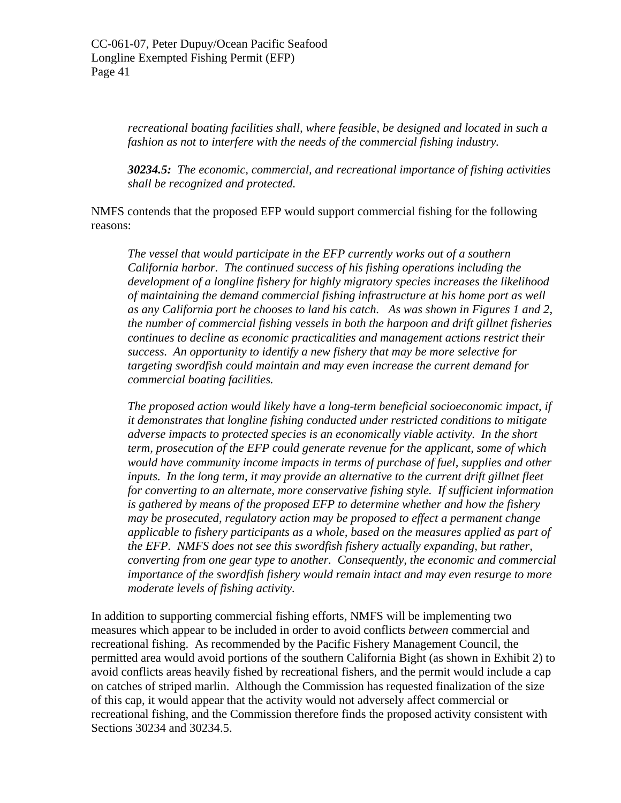*recreational boating facilities shall, where feasible, be designed and located in such a fashion as not to interfere with the needs of the commercial fishing industry.* 

*30234.5: The economic, commercial, and recreational importance of fishing activities shall be recognized and protected.*

NMFS contends that the proposed EFP would support commercial fishing for the following reasons:

*The vessel that would participate in the EFP currently works out of a southern California harbor. The continued success of his fishing operations including the development of a longline fishery for highly migratory species increases the likelihood of maintaining the demand commercial fishing infrastructure at his home port as well as any California port he chooses to land his catch. As was shown in Figures 1 and 2, the number of commercial fishing vessels in both the harpoon and drift gillnet fisheries continues to decline as economic practicalities and management actions restrict their success. An opportunity to identify a new fishery that may be more selective for targeting swordfish could maintain and may even increase the current demand for commercial boating facilities.* 

*The proposed action would likely have a long-term beneficial socioeconomic impact, if it demonstrates that longline fishing conducted under restricted conditions to mitigate adverse impacts to protected species is an economically viable activity. In the short term, prosecution of the EFP could generate revenue for the applicant, some of which would have community income impacts in terms of purchase of fuel, supplies and other inputs. In the long term, it may provide an alternative to the current drift gillnet fleet for converting to an alternate, more conservative fishing style. If sufficient information is gathered by means of the proposed EFP to determine whether and how the fishery may be prosecuted, regulatory action may be proposed to effect a permanent change applicable to fishery participants as a whole, based on the measures applied as part of the EFP. NMFS does not see this swordfish fishery actually expanding, but rather, converting from one gear type to another. Consequently, the economic and commercial importance of the swordfish fishery would remain intact and may even resurge to more moderate levels of fishing activity.* 

In addition to supporting commercial fishing efforts, NMFS will be implementing two measures which appear to be included in order to avoid conflicts *between* commercial and recreational fishing. As recommended by the Pacific Fishery Management Council, the permitted area would avoid portions of the southern California Bight (as shown in Exhibit 2) to avoid conflicts areas heavily fished by recreational fishers, and the permit would include a cap on catches of striped marlin. Although the Commission has requested finalization of the size of this cap, it would appear that the activity would not adversely affect commercial or recreational fishing, and the Commission therefore finds the proposed activity consistent with Sections 30234 and 30234.5.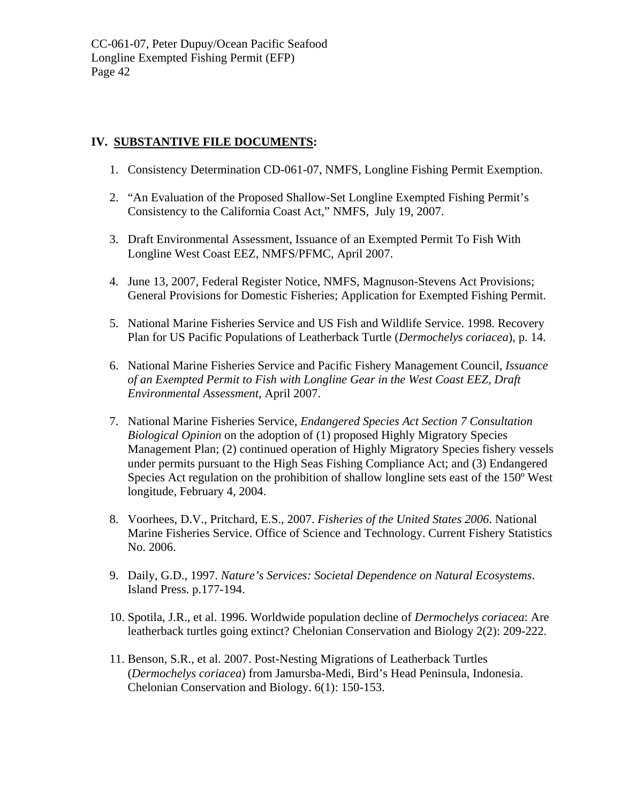# **IV. SUBSTANTIVE FILE DOCUMENTS:**

- 1. Consistency Determination CD-061-07, NMFS, Longline Fishing Permit Exemption.
- 2. "An Evaluation of the Proposed Shallow-Set Longline Exempted Fishing Permit's Consistency to the California Coast Act," NMFS, July 19, 2007.
- 3. Draft Environmental Assessment, Issuance of an Exempted Permit To Fish With Longline West Coast EEZ, NMFS/PFMC, April 2007.
- 4. June 13, 2007, Federal Register Notice, NMFS, Magnuson-Stevens Act Provisions; General Provisions for Domestic Fisheries; Application for Exempted Fishing Permit.
- 5. National Marine Fisheries Service and US Fish and Wildlife Service. 1998. Recovery Plan for US Pacific Populations of Leatherback Turtle (*Dermochelys coriacea*), p. 14.
- 6. National Marine Fisheries Service and Pacific Fishery Management Council, *Issuance of an Exempted Permit to Fish with Longline Gear in the West Coast EEZ, Draft Environmental Assessment,* April 2007.
- 7. National Marine Fisheries Service, *Endangered Species Act Section 7 Consultation Biological Opinion* on the adoption of (1) proposed Highly Migratory Species Management Plan; (2) continued operation of Highly Migratory Species fishery vessels under permits pursuant to the High Seas Fishing Compliance Act; and (3) Endangered Species Act regulation on the prohibition of shallow longline sets east of the 150º West longitude, February 4, 2004.
- 8. Voorhees, D.V., Pritchard, E.S., 2007. *Fisheries of the United States 2006*. National Marine Fisheries Service. Office of Science and Technology. Current Fishery Statistics No. 2006.
- 9. Daily, G.D., 1997. *Nature's Services: Societal Dependence on Natural Ecosystems*. Island Press. p.177-194.
- 10. Spotila, J.R., et al. 1996. Worldwide population decline of *Dermochelys coriacea*: Are leatherback turtles going extinct? Chelonian Conservation and Biology 2(2): 209-222.
- 11. Benson, S.R., et al. 2007. Post-Nesting Migrations of Leatherback Turtles (*Dermochelys coriacea*) from Jamursba-Medi, Bird's Head Peninsula, Indonesia. Chelonian Conservation and Biology. 6(1): 150-153.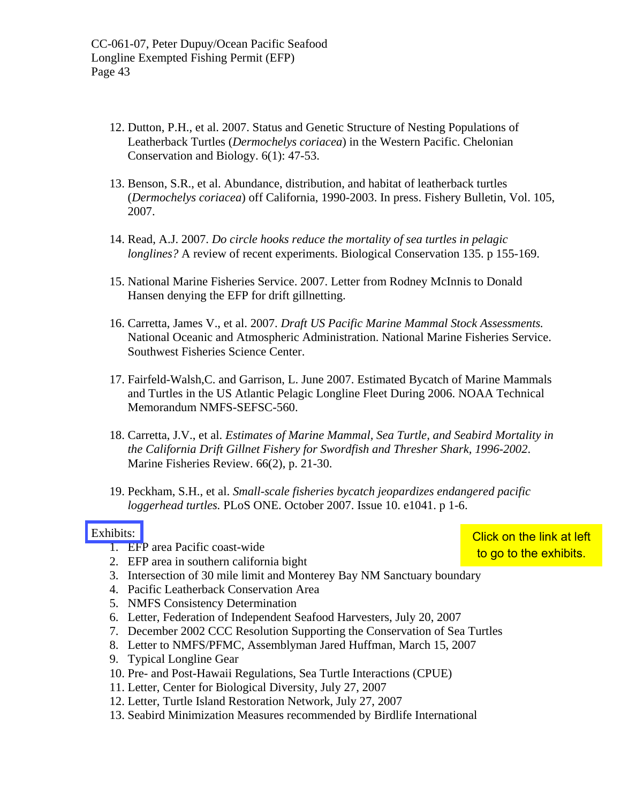- 12. Dutton, P.H., et al. 2007. Status and Genetic Structure of Nesting Populations of Leatherback Turtles (*Dermochelys coriacea*) in the Western Pacific. Chelonian Conservation and Biology. 6(1): 47-53.
- 13. Benson, S.R., et al. Abundance, distribution, and habitat of leatherback turtles (*Dermochelys coriacea*) off California, 1990-2003. In press. Fishery Bulletin, Vol. 105, 2007.
- 14. Read, A.J. 2007. *Do circle hooks reduce the mortality of sea turtles in pelagic longlines?* A review of recent experiments. Biological Conservation 135. p 155-169.
- 15. National Marine Fisheries Service. 2007. Letter from Rodney McInnis to Donald Hansen denying the EFP for drift gillnetting.
- 16. Carretta, James V., et al. 2007. *Draft US Pacific Marine Mammal Stock Assessments.* National Oceanic and Atmospheric Administration. National Marine Fisheries Service. Southwest Fisheries Science Center.
- 17. Fairfeld-Walsh,C. and Garrison, L. June 2007. Estimated Bycatch of Marine Mammals and Turtles in the US Atlantic Pelagic Longline Fleet During 2006. NOAA Technical Memorandum NMFS-SEFSC-560.
- 18. Carretta, J.V., et al. *Estimates of Marine Mammal, Sea Turtle, and Seabird Mortality in the California Drift Gillnet Fishery for Swordfish and Thresher Shark, 1996-2002*. Marine Fisheries Review. 66(2), p. 21-30.
- 19. Peckham, S.H., et al. *Small-scale fisheries bycatch jeopardizes endangered pacific loggerhead turtles.* PLoS ONE. October 2007. Issue 10. e1041. p 1-6.

#### [Exhibits:](http://documents.coastal.ca.gov/reports/2007/12/F3c-12-2007-a1.pdf)

- 1. EFP area Pacific coast-wide
- 2. EFP area in southern california bight
- 3. Intersection of 30 mile limit and Monterey Bay NM Sanctuary boundary
- 4. Pacific Leatherback Conservation Area
- 5. NMFS Consistency Determination
- 6. Letter, Federation of Independent Seafood Harvesters, July 20, 2007
- 7. December 2002 CCC Resolution Supporting the Conservation of Sea Turtles
- 8. Letter to NMFS/PFMC, Assemblyman Jared Huffman, March 15, 2007
- 9. Typical Longline Gear
- 10. Pre- and Post-Hawaii Regulations, Sea Turtle Interactions (CPUE)
- 11. Letter, Center for Biological Diversity, July 27, 2007
- 12. Letter, Turtle Island Restoration Network, July 27, 2007
- 13. Seabird Minimization Measures recommended by Birdlife International

Click on the link at left to go to the exhibits.